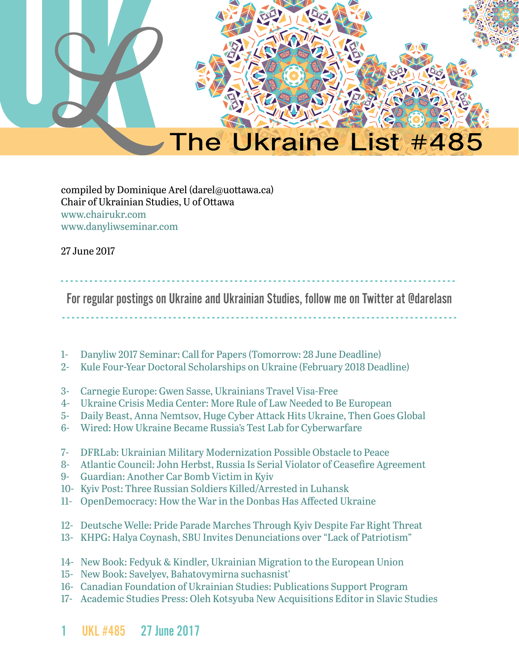

#### compiled by Dominique Arel (darel@uottawa.ca) Chair of Ukrainian Studies, U of Ottawa www.chairukr.com www.danyliwseminar.com

27 June 2017

<span id="page-0-0"></span>- - - - - - - - - - - - - - - - - - - - - - - - - - - - - - - - - - - - - - - - - - - - - - - - - - - - - - - - - - - - - - - - - - - - - - - - - - - - - - - - - -

For regular postings on Ukraine and Ukrainian Studies, follow me on Twitter at @darelasn

- - - - - - - - - - - - - - - - - - - - - - - - - - - - - - - - - - - - - - - - - - - - - - - - - - - - - - - - - - - - - - - - - - - - - - - - - - - - - - - - - -

- 1- [Danyliw 2017 Seminar: Call for Papers \(Tomorrow: 28 June Deadline\)](#page-1-0)
- 2- [Kule Four-Year Doctoral Scholarships on Ukraine \(February 2018 Deadline\)](#page-3-0)
- 3- [Carnegie Europe: Gwen Sasse, Ukrainians Travel Visa-Free](#page-4-0)
- 4- [Ukraine Crisis Media Center: More Rule of Law Needed to Be European](#page-6-0)
- 5- [Daily Beast, Anna Nemtsov, Huge Cyber Attack Hits Ukraine, Then Goes Global](#page-7-0)
- 6- Wired: How Ukraine Became Russia's Test Lab for Cyberwarfare
- 7- [DFRLab: Ukrainian Military Modernization Possible Obstacle to Peace](#page-23-0)
- 8- [Atlantic Council: John Herbst, Russia Is Serial Violator of Ceasefire Agreement](#page-24-0)
- 9- [Guardian: Another Car Bomb Victim in Kyiv](#page-26-0)
- 10- Kyiv Post: Three Russian Soldiers Killed/Arrested in Luhansk
- 11- [OpenDemocracy: How the War in the Donbas Has Affected Ukraine](#page-28-0)
- 12- [Deutsche Welle: Pride Parade Marches Through Kyiv Despite Far Right Threat](#page-35-0)
- 13- KHPG: Halya Coynash, SBU Invites Denunciations over "Lack of Patriotism"
- 14- [New Book: Fedyuk & Kindler, Ukrainian Migration to the European Union](#page-38-0)
- 15- [New Book: Savelyev, Bahatovymirna suchasnist'](#page-40-0)
- 16- [Canadian Foundation of Ukrainian Studies: Publications Support Program](#page-41-0)
- 17- Academic Studies Press: Oleh Kotsyuba New Acquisitions Editor in Slavic Studies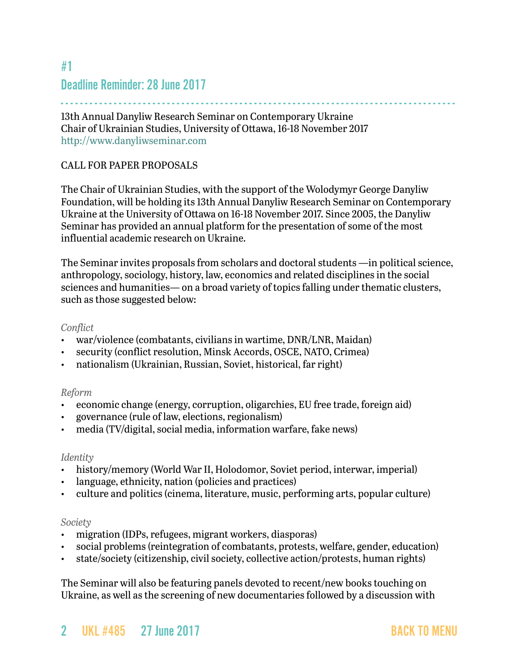## <span id="page-1-0"></span>#1 Deadline Reminder: 28 June 2017

- - - - - - - - - - - - - - - - - - - - - - - - - - - - - - - - - - - - - - - - - - - - - - - - - - - - - - - - - - - - - - - - - - - - - - - - - - - - - - - - - - 13th Annual Danyliw Research Seminar on Contemporary Ukraine Chair of Ukrainian Studies, University of Ottawa, 16-18 November 2017 <http://www.danyliwseminar.com>

#### CALL FOR PAPER PROPOSALS

The Chair of Ukrainian Studies, with the support of the Wolodymyr George Danyliw Foundation, will be holding its 13th Annual Danyliw Research Seminar on Contemporary Ukraine at the University of Ottawa on 16-18 November 2017. Since 2005, the Danyliw Seminar has provided an annual platform for the presentation of some of the most influential academic research on Ukraine.

The Seminar invites proposals from scholars and doctoral students —in political science, anthropology, sociology, history, law, economics and related disciplines in the social sciences and humanities— on a broad variety of topics falling under thematic clusters, such as those suggested below:

#### *Conflict*

- war/violence (combatants, civilians in wartime, DNR/LNR, Maidan)
- security (conflict resolution, Minsk Accords, OSCE, NATO, Crimea)
- nationalism (Ukrainian, Russian, Soviet, historical, far right)

#### *Reform*

- economic change (energy, corruption, oligarchies, EU free trade, foreign aid)
- governance (rule of law, elections, regionalism)
- media (TV/digital, social media, information warfare, fake news)

#### *Identity*

- history/memory (World War II, Holodomor, Soviet period, interwar, imperial)
- language, ethnicity, nation (policies and practices)
- culture and politics (cinema, literature, music, performing arts, popular culture)

#### *Society*

- migration (IDPs, refugees, migrant workers, diasporas)
- social problems (reintegration of combatants, protests, welfare, gender, education)
- state/society (citizenship, civil society, collective action/protests, human rights)

The Seminar will also be featuring panels devoted to recent/new books touching on Ukraine, as well as the screening of new documentaries followed by a discussion with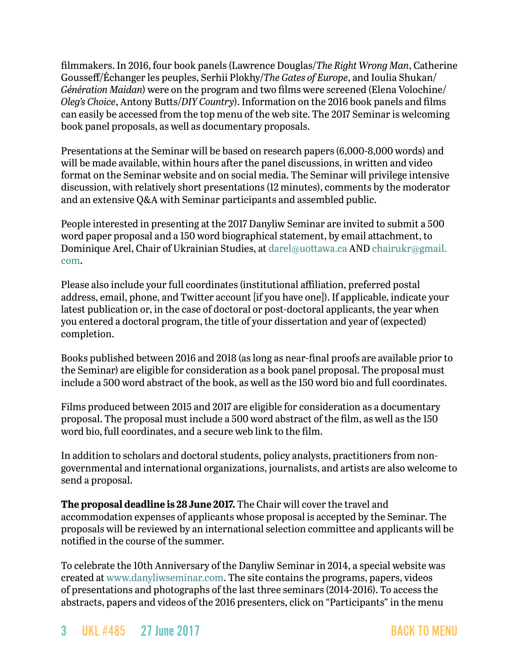filmmakers. In 2016, four book panels (Lawrence Douglas/*The Right Wrong Man*, Catherine Gousseff/Échanger les peuples, Serhii Plokhy/*The Gates of Europe*, and Ioulia Shukan/ *Génération Maidan*) were on the program and two films were screened (Elena Volochine/ *Oleg's Choice*, Antony Butts/*DIY Country*). Information on the 2016 book panels and films can easily be accessed from the top menu of the web site. The 2017 Seminar is welcoming book panel proposals, as well as documentary proposals.

Presentations at the Seminar will be based on research papers (6,000-8,000 words) and will be made available, within hours after the panel discussions, in written and video format on the Seminar website and on social media. The Seminar will privilege intensive discussion, with relatively short presentations (12 minutes), comments by the moderator and an extensive Q&A with Seminar participants and assembled public.

People interested in presenting at the 2017 Danyliw Seminar are invited to submit a 500 word paper proposal and a 150 word biographical statement, by email attachment, to Dominique Arel, Chair of Ukrainian Studies, at [darel@uottawa.ca](mailto:darel@uottawa.ca) AND [chairukr@gmail.](mailto:chairukr@gmail.com) [com](mailto:chairukr@gmail.com).

Please also include your full coordinates (institutional affiliation, preferred postal address, email, phone, and Twitter account [if you have one]). If applicable, indicate your latest publication or, in the case of doctoral or post-doctoral applicants, the year when you entered a doctoral program, the title of your dissertation and year of (expected) completion.

Books published between 2016 and 2018 (as long as near-final proofs are available prior to the Seminar) are eligible for consideration as a book panel proposal. The proposal must include a 500 word abstract of the book, as well as the 150 word bio and full coordinates.

Films produced between 2015 and 2017 are eligible for consideration as a documentary proposal. The proposal must include a 500 word abstract of the film, as well as the 150 word bio, full coordinates, and a secure web link to the film.

In addition to scholars and doctoral students, policy analysts, practitioners from nongovernmental and international organizations, journalists, and artists are also welcome to send a proposal.

**The proposal deadline is 28 June 2017.** The Chair will cover the travel and accommodation expenses of applicants whose proposal is accepted by the Seminar. The proposals will be reviewed by an international selection committee and applicants will be notified in the course of the summer.

To celebrate the 10th Anniversary of the Danyliw Seminar in 2014, a special website was created at [www.danyliwseminar.com.](http://www.danyliwseminar.com) The site contains the programs, papers, videos of presentations and photographs of the last three seminars (2014-2016). To access the abstracts, papers and videos of the 2016 presenters, click on "Participants" in the menu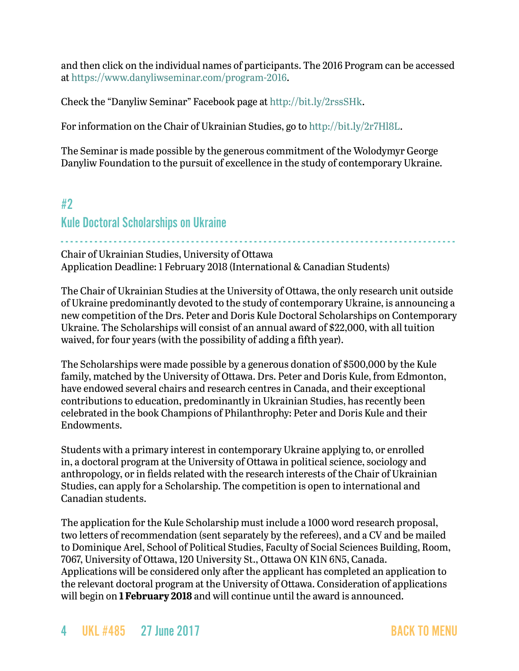and then click on the individual names of participants. The 2016 Program can be accessed at<https://www.danyliwseminar.com/program-2016>.

Check the "Danyliw Seminar" Facebook page at<http://bit.ly/2rssSHk>.

For information on the Chair of Ukrainian Studies, go to <http://bit.ly/2r7Hl8L>.

The Seminar is made possible by the generous commitment of the Wolodymyr George Danyliw Foundation to the pursuit of excellence in the study of contemporary Ukraine.

### <span id="page-3-0"></span>#2

#### Kule Doctoral Scholarships on Ukraine

- - - - - - - - - - - - - - - - - - - - - - - - - - - - - - - - - - - - - - - - - - - - - - - - - - - - - - - - - - - - - - - - - - - - - - - - - - - - - - - - - - Chair of Ukrainian Studies, University of Ottawa Application Deadline: 1 February 2018 (International & Canadian Students)

The Chair of Ukrainian Studies at the University of Ottawa, the only research unit outside of Ukraine predominantly devoted to the study of contemporary Ukraine, is announcing a new competition of the Drs. Peter and Doris Kule Doctoral Scholarships on Contemporary Ukraine. The Scholarships will consist of an annual award of \$22,000, with all tuition waived, for four years (with the possibility of adding a fifth year).

The Scholarships were made possible by a generous donation of \$500,000 by the Kule family, matched by the University of Ottawa. Drs. Peter and Doris Kule, from Edmonton, have endowed several chairs and research centres in Canada, and their exceptional contributions to education, predominantly in Ukrainian Studies, has recently been celebrated in the book Champions of Philanthrophy: Peter and Doris Kule and their Endowments.

Students with a primary interest in contemporary Ukraine applying to, or enrolled in, a doctoral program at the University of Ottawa in political science, sociology and anthropology, or in fields related with the research interests of the Chair of Ukrainian Studies, can apply for a Scholarship. The competition is open to international and Canadian students.

The application for the Kule Scholarship must include a 1000 word research proposal, two letters of recommendation (sent separately by the referees), and a CV and be mailed to Dominique Arel, School of Political Studies, Faculty of Social Sciences Building, Room, 7067, University of Ottawa, 120 University St., Ottawa ON K1N 6N5, Canada. Applications will be considered only after the applicant has completed an application to the relevant doctoral program at the University of Ottawa. Consideration of applications will begin on **1 February 2018** and will continue until the award is announced.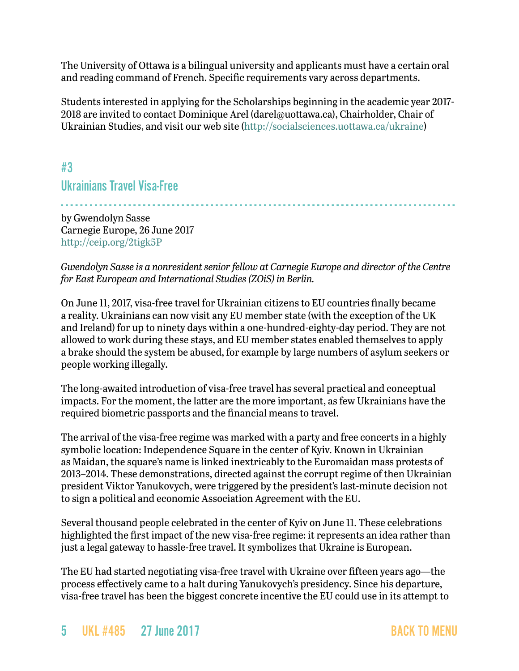The University of Ottawa is a bilingual university and applicants must have a certain oral and reading command of French. Specific requirements vary across departments.

Students interested in applying for the Scholarships beginning in the academic year 2017- 2018 are invited to contact Dominique Arel [\(darel@uottawa.ca](mailto:darel@uottawa.ca)), Chairholder, Chair of Ukrainian Studies, and visit our web site [\(http://socialsciences.uottawa.ca/ukraine](http://socialsciences.uottawa.ca/ukraine))

<span id="page-4-0"></span>#3 Ukrainians Travel Visa-Free

- - - - - - - - - - - - - - - - - - - - - - - - - - - - - - - - - - - - - - - - - - - - - - - - - - - - - - - - - - - - - - - - - - - - - - - - - - - - - - - - - by Gwendolyn Sasse Carnegie Europe, 26 June 2017 <http://ceip.org/2tigk5P>

*Gwendolyn Sasse is a nonresident senior fellow at Carnegie Europe and director of the Centre for East European and International Studies (ZOiS) in Berlin.*

On June 11, 2017, visa-free travel for Ukrainian citizens to EU countries finally became a reality. Ukrainians can now visit any EU member state (with the exception of the UK and Ireland) for up to ninety days within a one-hundred-eighty-day period. They are not allowed to work during these stays, and EU member states enabled themselves to apply a brake should the system be abused, for example by large numbers of asylum seekers or people working illegally.

The long-awaited introduction of visa-free travel has several practical and conceptual impacts. For the moment, the latter are the more important, as few Ukrainians have the required biometric passports and the financial means to travel.

The arrival of the visa-free regime was marked with a party and free concerts in a highly symbolic location: Independence Square in the center of Kyiv. Known in Ukrainian as Maidan, the square's name is linked inextricably to the Euromaidan mass protests of 2013–2014. These demonstrations, directed against the corrupt regime of then Ukrainian president Viktor Yanukovych, were triggered by the president's last-minute decision not to sign a political and economic Association Agreement with the EU.

Several thousand people celebrated in the center of Kyiv on June 11. These celebrations highlighted the first impact of the new visa-free regime: it represents an idea rather than just a legal gateway to hassle-free travel. It symbolizes that Ukraine is European.

The EU had started negotiating visa-free travel with Ukraine over fifteen years ago—the process effectively came to a halt during Yanukovych's presidency. Since his departure, visa-free travel has been the biggest concrete incentive the EU could use in its attempt to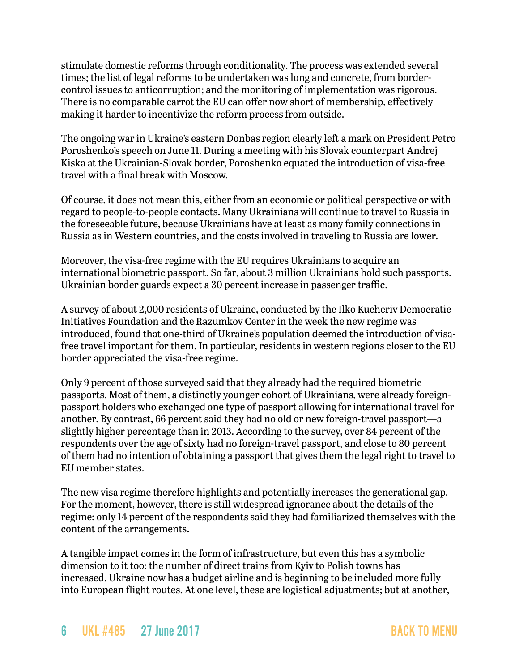stimulate domestic reforms through conditionality. The process was extended several times; the list of legal reforms to be undertaken was long and concrete, from bordercontrol issues to anticorruption; and the monitoring of implementation was rigorous. There is no comparable carrot the EU can offer now short of membership, effectively making it harder to incentivize the reform process from outside.

The ongoing war in Ukraine's eastern Donbas region clearly left a mark on President Petro Poroshenko's speech on June 11. During a meeting with his Slovak counterpart Andrej Kiska at the Ukrainian-Slovak border, Poroshenko equated the introduction of visa-free travel with a final break with Moscow.

Of course, it does not mean this, either from an economic or political perspective or with regard to people-to-people contacts. Many Ukrainians will continue to travel to Russia in the foreseeable future, because Ukrainians have at least as many family connections in Russia as in Western countries, and the costs involved in traveling to Russia are lower.

Moreover, the visa-free regime with the EU requires Ukrainians to acquire an international biometric passport. So far, about 3 million Ukrainians hold such passports. Ukrainian border guards expect a 30 percent increase in passenger traffic.

A survey of about 2,000 residents of Ukraine, conducted by the Ilko Kucheriv Democratic Initiatives Foundation and the Razumkov Center in the week the new regime was introduced, found that one-third of Ukraine's population deemed the introduction of visafree travel important for them. In particular, residents in western regions closer to the EU border appreciated the visa-free regime.

Only 9 percent of those surveyed said that they already had the required biometric passports. Most of them, a distinctly younger cohort of Ukrainians, were already foreignpassport holders who exchanged one type of passport allowing for international travel for another. By contrast, 66 percent said they had no old or new foreign-travel passport—a slightly higher percentage than in 2013. According to the survey, over 84 percent of the respondents over the age of sixty had no foreign-travel passport, and close to 80 percent of them had no intention of obtaining a passport that gives them the legal right to travel to EU member states.

The new visa regime therefore highlights and potentially increases the generational gap. For the moment, however, there is still widespread ignorance about the details of the regime: only 14 percent of the respondents said they had familiarized themselves with the content of the arrangements.

A tangible impact comes in the form of infrastructure, but even this has a symbolic dimension to it too: the number of direct trains from Kyiv to Polish towns has increased. Ukraine now has a budget airline and is beginning to be included more fully into European flight routes. At one level, these are logistical adjustments; but at another,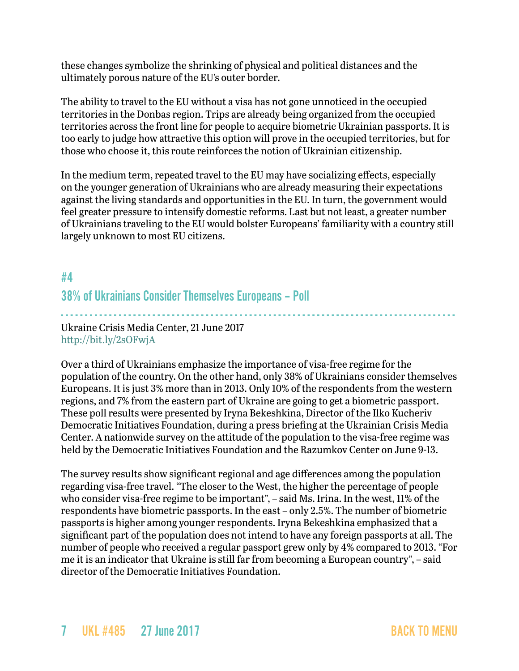these changes symbolize the shrinking of physical and political distances and the ultimately porous nature of the EU's outer border.

The ability to travel to the EU without a visa has not gone unnoticed in the occupied territories in the Donbas region. Trips are already being organized from the occupied territories across the front line for people to acquire biometric Ukrainian passports. It is too early to judge how attractive this option will prove in the occupied territories, but for those who choose it, this route reinforces the notion of Ukrainian citizenship.

In the medium term, repeated travel to the EU may have socializing effects, especially on the younger generation of Ukrainians who are already measuring their expectations against the living standards and opportunities in the EU. In turn, the government would feel greater pressure to intensify domestic reforms. Last but not least, a greater number of Ukrainians traveling to the EU would bolster Europeans' familiarity with a country still largely unknown to most EU citizens.

## <span id="page-6-0"></span>#4 38% of Ukrainians Consider Themselves Europeans – Poll

- - - - - - - - - - - - - - - - - - - - - - - - - - - - - - - - - - - - - - - - - - - - - - - - - - - - - - - - - - - - - - - - - - - - - - - - - - - - - - - - - - Ukraine Crisis Media Center, 21 June 2017 <http://bit.ly/2sOFwjA>

Over a third of Ukrainians emphasize the importance of visa-free regime for the population of the country. On the other hand, only 38% of Ukrainians consider themselves Europeans. It is just 3% more than in 2013. Only 10% of the respondents from the western regions, and 7% from the eastern part of Ukraine are going to get a biometric passport. These poll results were presented by Iryna Bekeshkina, Director of the Ilko Kucheriv Democratic Initiatives Foundation, during a press briefing at the Ukrainian Crisis Media Center. A nationwide survey on the attitude of the population to the visa-free regime was held by the Democratic Initiatives Foundation and the Razumkov Center on June 9-13.

The survey results show significant regional and age differences among the population regarding visa-free travel. "The closer to the West, the higher the percentage of people who consider visa-free regime to be important", – said Ms. Irina. In the west, 11% of the respondents have biometric passports. In the east – only 2.5%. The number of biometric passports is higher among younger respondents. Iryna Bekeshkina emphasized that a significant part of the population does not intend to have any foreign passports at all. The number of people who received a regular passport grew only by 4% compared to 2013. "For me it is an indicator that Ukraine is still far from becoming a European country", – said director of the Democratic Initiatives Foundation.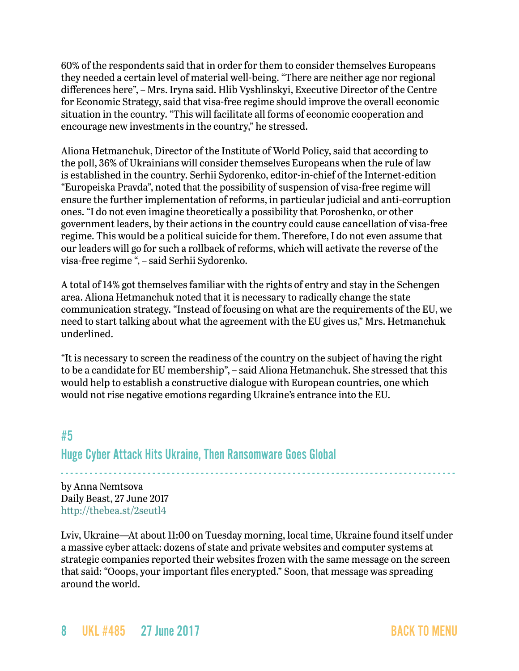60% of the respondents said that in order for them to consider themselves Europeans they needed a certain level of material well-being. "There are neither age nor regional differences here", – Mrs. Iryna said. Hlib Vyshlinskyi, Executive Director of the Centre for Economic Strategy, said that visa-free regime should improve the overall economic situation in the country. "This will facilitate all forms of economic cooperation and encourage new investments in the country," he stressed.

Aliona Hetmanchuk, Director of the Institute of World Policy, said that according to the poll, 36% of Ukrainians will consider themselves Europeans when the rule of law is established in the country. Serhii Sydorenko, editor-in-chief of the Internet-edition "Europeiska Pravda", noted that the possibility of suspension of visa-free regime will ensure the further implementation of reforms, in particular judicial and anti-corruption ones. "I do not even imagine theoretically a possibility that Poroshenko, or other government leaders, by their actions in the country could cause cancellation of visa-free regime. This would be a political suicide for them. Therefore, I do not even assume that our leaders will go for such a rollback of reforms, which will activate the reverse of the visa-free regime ", – said Serhii Sydorenko.

A total of 14% got themselves familiar with the rights of entry and stay in the Schengen area. Aliona Hetmanchuk noted that it is necessary to radically change the state communication strategy. "Instead of focusing on what are the requirements of the EU, we need to start talking about what the agreement with the EU gives us," Mrs. Hetmanchuk underlined.

"It is necessary to screen the readiness of the country on the subject of having the right to be a candidate for EU membership", – said Aliona Hetmanchuk. She stressed that this would help to establish a constructive dialogue with European countries, one which would not rise negative emotions regarding Ukraine's entrance into the EU.

# <span id="page-7-0"></span>#5 Huge Cyber Attack Hits Ukraine, Then Ransomware Goes Global

- - - - - - - - - - - - - - - - - - - - - - - - - - - - - - - - - - - - - - - - - - - - - - - - - - - - - - - - - - - - - - - - - - - - - - - - - - - - - - - - - by Anna Nemtsova Daily Beast, 27 June 2017 <http://thebea.st/2seutl4>

Lviv, Ukraine—At about 11:00 on Tuesday morning, local time, Ukraine found itself under a massive cyber attack: dozens of state and private websites and computer systems at strategic companies reported their websites frozen with the same message on the screen that said: "Ooops, your important files encrypted." Soon, that message was spreading around the world.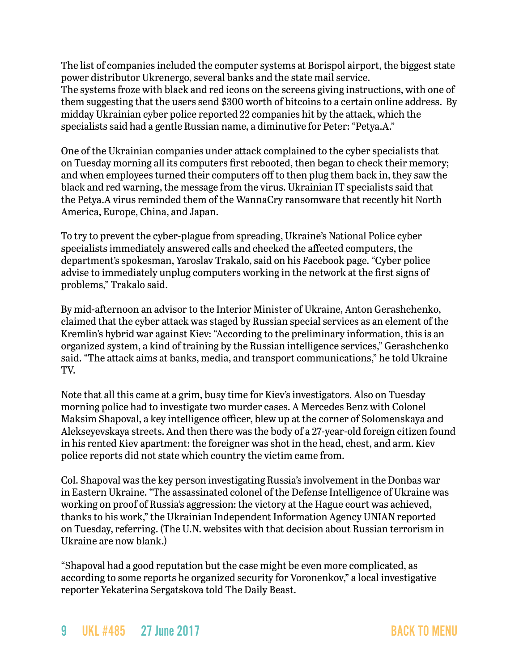The list of companies included the computer systems at Borispol airport, the biggest state power distributor Ukrenergo, several banks and the state mail service. The systems froze with black and red icons on the screens giving instructions, with one of them suggesting that the users send \$300 worth of bitcoins to a certain online address. By midday Ukrainian cyber police reported 22 companies hit by the attack, which the specialists said had a gentle Russian name, a diminutive for Peter: "Petya.A."

One of the Ukrainian companies under attack complained to the cyber specialists that on Tuesday morning all its computers first rebooted, then began to check their memory; and when employees turned their computers off to then plug them back in, they saw the black and red warning, the message from the virus. Ukrainian IT specialists said that the Petya.A virus reminded them of the WannaCry ransomware that recently hit North America, Europe, China, and Japan.

To try to prevent the cyber-plague from spreading, Ukraine's National Police cyber specialists immediately answered calls and checked the affected computers, the department's spokesman, Yaroslav Trakalo, said on his Facebook page. "Cyber police advise to immediately unplug computers working in the network at the first signs of problems," Trakalo said.

By mid-afternoon an advisor to the Interior Minister of Ukraine, Anton Gerashchenko, claimed that the cyber attack was staged by Russian special services as an element of the Kremlin's hybrid war against Kiev: "According to the preliminary information, this is an organized system, a kind of training by the Russian intelligence services," Gerashchenko said. "The attack aims at banks, media, and transport communications," he told Ukraine TV.

Note that all this came at a grim, busy time for Kiev's investigators. Also on Tuesday morning police had to investigate two murder cases. A Mercedes Benz with Colonel Maksim Shapoval, a key intelligence officer, blew up at the corner of Solomenskaya and Alekseyevskaya streets. And then there was the body of a 27-year-old foreign citizen found in his rented Kiev apartment: the foreigner was shot in the head, chest, and arm. Kiev police reports did not state which country the victim came from.

Col. Shapoval was the key person investigating Russia's involvement in the Donbas war in Eastern Ukraine. "The assassinated colonel of the Defense Intelligence of Ukraine was working on proof of Russia's aggression: the victory at the Hague court was achieved, thanks to his work," the Ukrainian Independent Information Agency UNIAN reported on Tuesday, referring. (The U.N. websites with that decision about Russian terrorism in Ukraine are now blank.)

"Shapoval had a good reputation but the case might be even more complicated, as according to some reports he organized security for Voronenkov," a local investigative reporter Yekaterina Sergatskova told The Daily Beast.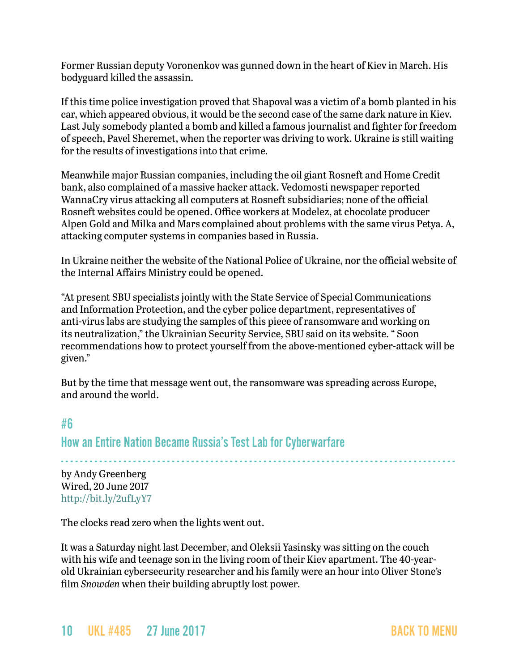Former Russian deputy Voronenkov was gunned down in the heart of Kiev in March. His bodyguard killed the assassin.

If this time police investigation proved that Shapoval was a victim of a bomb planted in his car, which appeared obvious, it would be the second case of the same dark nature in Kiev. Last July somebody planted a bomb and killed a famous journalist and fighter for freedom of speech, Pavel Sheremet, when the reporter was driving to work. Ukraine is still waiting for the results of investigations into that crime.

Meanwhile major Russian companies, including the oil giant Rosneft and Home Credit bank, also complained of a massive hacker attack. Vedomosti newspaper reported WannaCry virus attacking all computers at Rosneft subsidiaries; none of the official Rosneft websites could be opened. Office workers at Modelez, at chocolate producer Alpen Gold and Milka and Mars complained about problems with the same virus Petya. A, attacking computer systems in companies based in Russia.

In Ukraine neither the website of the National Police of Ukraine, nor the official website of the Internal Affairs Ministry could be opened.

"At present SBU specialists jointly with the State Service of Special Communications and Information Protection, and the cyber police department, representatives of anti-virus labs are studying the samples of this piece of ransomware and working on its neutralization," the Ukrainian Security Service, SBU said on its website. " Soon recommendations how to protect yourself from the above-mentioned cyber-attack will be given."

But by the time that message went out, the ransomware was spreading across Europe, and around the world.

## #6

How an Entire Nation Became Russia's Test Lab for Cyberwarfare

- - - - - - - - - - - - - - - - - - - - - - - - - - - - - - - - - - - - - - - - - - - - - - - - - - - - - - - - - - - - - - - - - - - - - - - - - - - - - - - - - by Andy Greenberg Wired, 20 June 2017 <http://bit.ly/2ufLyY7>

The clocks read zero when the lights went out.

It was a Saturday night last December, and Oleksii Yasinsky was sitting on the couch with his wife and teenage son in the living room of their Kiev apartment. The 40-yearold Ukrainian cybersecurity researcher and his family were an hour into Oliver Stone's film *Snowden* when their building abruptly lost power.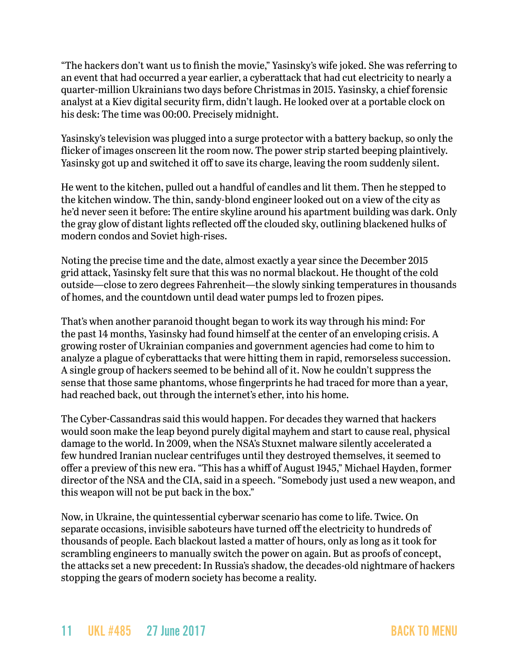"The hackers don't want us to finish the movie," Yasinsky's wife joked. She was referring to an event that had occurred a year earlier, a cyberattack that had cut electricity to nearly a quarter-million Ukrainians two days before Christmas in 2015. Yasinsky, a chief forensic analyst at a Kiev digital security firm, didn't laugh. He looked over at a portable clock on his desk: The time was 00:00. Precisely midnight.

Yasinsky's television was plugged into a surge protector with a battery backup, so only the flicker of images onscreen lit the room now. The power strip started beeping plaintively. Yasinsky got up and switched it off to save its charge, leaving the room suddenly silent.

He went to the kitchen, pulled out a handful of candles and lit them. Then he stepped to the kitchen window. The thin, sandy-blond engineer looked out on a view of the city as he'd never seen it before: The entire skyline around his apartment building was dark. Only the gray glow of distant lights reflected off the clouded sky, outlining blackened hulks of modern condos and Soviet high-rises.

Noting the precise time and the date, almost exactly a year since the December 2015 grid attack, Yasinsky felt sure that this was no normal blackout. He thought of the cold outside—close to zero degrees Fahrenheit—the slowly sinking temperatures in thousands of homes, and the countdown until dead water pumps led to frozen pipes.

That's when another paranoid thought began to work its way through his mind: For the past 14 months, Yasinsky had found himself at the center of an enveloping crisis. A growing roster of Ukrainian companies and government agencies had come to him to analyze a plague of cyberattacks that were hitting them in rapid, remorseless succession. A single group of hackers seemed to be behind all of it. Now he couldn't suppress the sense that those same phantoms, whose fingerprints he had traced for more than a year, had reached back, out through the internet's ether, into his home.

The Cyber-Cassandras said this would happen. For decades they warned that hackers would soon make the leap beyond purely digital mayhem and start to cause real, physical damage to the world. In 2009, when the NSA's Stuxnet malware silently accelerated a few hundred Iranian nuclear centrifuges until they destroyed themselves, it seemed to offer a preview of this new era. "This has a whiff of August 1945," Michael Hayden, former director of the NSA and the CIA, [said in a speech](https://www.usnews.com/news/articles/2013/02/20/former-cia-director-cyber-attack-game-changers-comparable-to-hiroshima). "Somebody just used a new weapon, and this weapon will not be put back in the box."

Now, in Ukraine, the quintessential cyberwar scenario has come to life. Twice. On separate occasions, invisible saboteurs have turned off the electricity to hundreds of thousands of people. Each blackout lasted a matter of hours, only as long as it took for scrambling engineers to manually switch the power on again. But as proofs of concept, the attacks set a new precedent: In Russia's shadow, the decades-old nightmare of hackers stopping the gears of modern society has become a reality.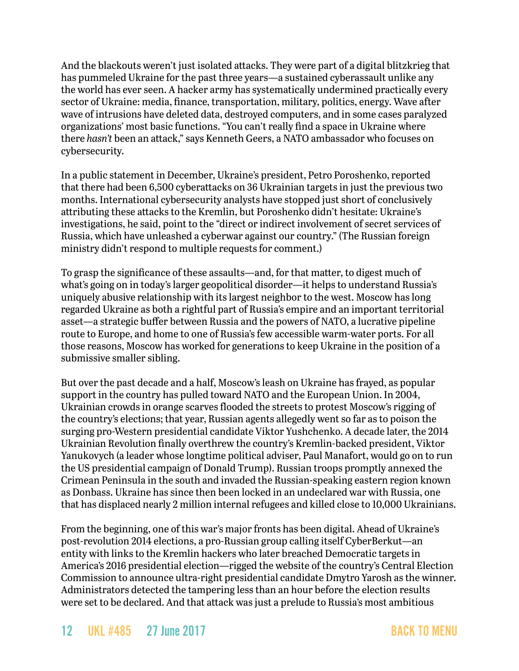And the blackouts weren't just isolated attacks. They were part of a digital blitzkrieg that has pummeled Ukraine for the past three years—a sustained cyberassault unlike any the world has ever seen. A hacker army has systematically undermined practically every sector of Ukraine: media, finance, transportation, military, politics, energy. Wave after wave of intrusions have deleted data, destroyed computers, and in some cases paralyzed organizations' most basic functions. "You can't really find a space in Ukraine where there *hasn't* been an attack," says Kenneth Geers, a NATO ambassador who focuses on cybersecurity.

In a public statement in December, Ukraine's president, Petro Poroshenko, reported that there had been 6,500 cyberattacks on 36 Ukrainian targets in just the previous two months. International cybersecurity analysts have stopped just short of conclusively attributing these attacks to the Kremlin, but Poroshenko didn't hesitate: Ukraine's investigations, he said, point to the "direct or indirect involvement of secret services of Russia, which have unleashed a cyberwar against our country." (The Russian foreign ministry didn't respond to multiple requests for comment.)

To grasp the significance of these assaults—and, for that matter, to digest much of what's going on in today's larger geopolitical disorder—it helps to understand Russia's uniquely abusive relationship with its largest neighbor to the west. Moscow has long regarded Ukraine as both a rightful part of Russia's empire and an important territorial asset—a strategic buffer between Russia and the powers of NATO, a lucrative pipeline route to Europe, and home to one of Russia's few accessible warm-water ports. For all those reasons, Moscow has worked for generations to keep Ukraine in the position of a submissive smaller sibling.

But over the past decade and a half, Moscow's leash on Ukraine has frayed, as popular support in the country has pulled toward NATO and the European Union. In 2004, Ukrainian crowds in orange scarves flooded the streets to protest Moscow's rigging of the country's elections; that year, Russian agents allegedly went so far as to poison the surging pro-Western presidential candidate Viktor Yushchenko. A decade later, the 2014 Ukrainian Revolution finally overthrew the country's Kremlin-backed president, Viktor Yanukovych (a leader whose longtime political adviser, Paul Manafort, would go on to run the US presidential campaign of Donald Trump). Russian troops promptly annexed the Crimean Peninsula in the south and invaded the Russian-speaking eastern region known as Donbass. Ukraine has since then been locked in an undeclared war with Russia, one that has displaced nearly 2 million internal refugees and killed close to 10,000 Ukrainians.

From the beginning, one of this war's major fronts has been digital. Ahead of Ukraine's post-revolution 2014 elections, a pro-Russian group calling itself CyberBerkut—an entity with links to the Kremlin hackers who later breached Democratic targets in America's 2016 presidential election—rigged the website of the country's Central Election Commission to announce ultra-right presidential candidate Dmytro Yarosh as the winner. Administrators detected the tampering less than an hour before the election results were set to be declared. And that attack was just a prelude to Russia's most ambitious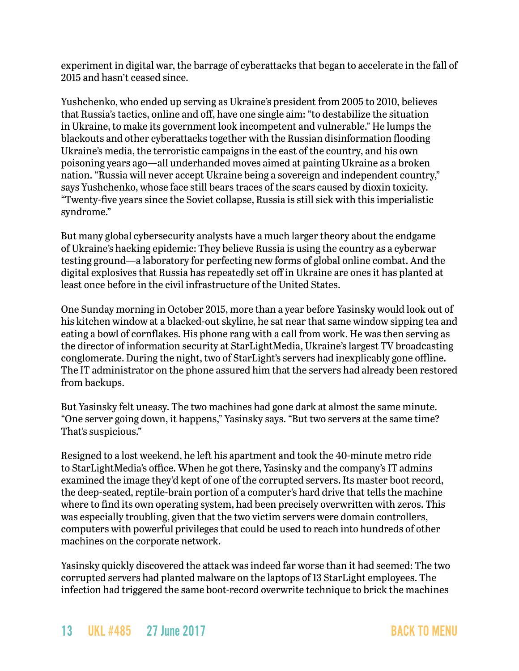experiment in digital war, the barrage of cyberattacks that began to accelerate in the fall of 2015 and hasn't ceased since.

Yushchenko, who ended up serving as Ukraine's president from 2005 to 2010, believes that Russia's tactics, online and off, have one single aim: "to destabilize the situation in Ukraine, to make its government look incompetent and vulnerable." He lumps the blackouts and other cyberattacks together with the Russian disinformation flooding Ukraine's media, the terroristic campaigns in the east of the country, and his own poisoning years ago—all underhanded moves aimed at painting Ukraine as a broken nation. "Russia will never accept Ukraine being a sovereign and independent country," says Yushchenko, whose face still bears traces of the scars caused by dioxin toxicity. "Twenty-five years since the Soviet collapse, Russia is still sick with this imperialistic syndrome."

But many global cybersecurity analysts have a much larger theory about the endgame of Ukraine's hacking epidemic: They believe Russia is using the country as a cyberwar testing ground—a laboratory for perfecting new forms of global online combat. And the digital explosives that Russia has repeatedly set off in Ukraine are ones it has planted at least once before in the civil infrastructure of the United States.

One Sunday morning in October 2015, more than a year before Yasinsky would look out of his kitchen window at a blacked-out skyline, he sat near that same window sipping tea and eating a bowl of cornflakes. His phone rang with a call from work. He was then serving as the director of information security at StarLightMedia, Ukraine's largest TV broadcasting conglomerate. During the night, two of StarLight's servers had inexplicably gone offline. The IT administrator on the phone assured him that the servers had already been restored from backups.

But Yasinsky felt uneasy. The two machines had gone dark at almost the same minute. "One server going down, it happens," Yasinsky says. "But two servers at the same time? That's suspicious."

Resigned to a lost weekend, he left his apartment and took the 40-minute metro ride to StarLightMedia's office. When he got there, Yasinsky and the company's IT admins examined the image they'd kept of one of the corrupted servers. Its master boot record, the deep-seated, reptile-brain portion of a computer's hard drive that tells the machine where to find its own operating system, had been precisely overwritten with zeros. This was especially troubling, given that the two victim servers were domain controllers, computers with powerful privileges that could be used to reach into hundreds of other machines on the corporate network.

Yasinsky quickly discovered the attack was indeed far worse than it had seemed: The two corrupted servers had planted malware on the laptops of 13 StarLight employees. The infection had triggered the same boot-record overwrite technique to brick the machines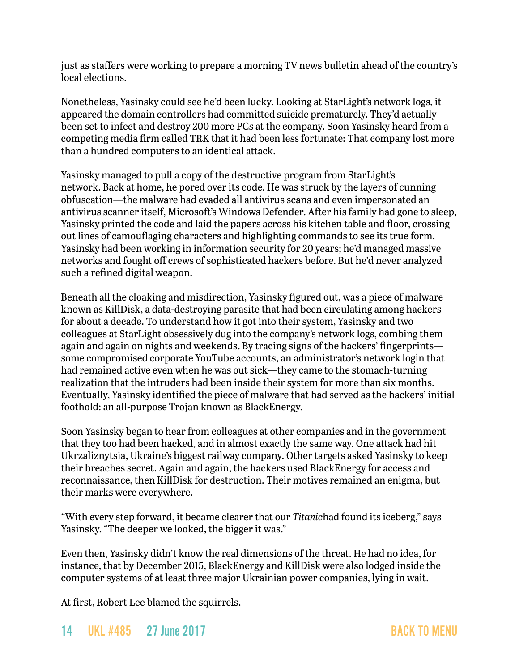just as staffers were working to prepare a morning TV news bulletin ahead of the country's local elections.

Nonetheless, Yasinsky could see he'd been lucky. Looking at StarLight's network logs, it appeared the domain controllers had committed suicide prematurely. They'd actually been set to infect and destroy 200 more PCs at the company. Soon Yasinsky heard from a competing media firm called TRK that it had been less fortunate: That company lost more than a hundred computers to an identical attack.

Yasinsky managed to pull a copy of the destructive program from StarLight's network. Back at home, he pored over its code. He was struck by the layers of cunning obfuscation—the malware had evaded all antivirus scans and even impersonated an antivirus scanner itself, Microsoft's Windows Defender. After his family had gone to sleep, Yasinsky printed the code and laid the papers across his kitchen table and floor, crossing out lines of camouflaging characters and highlighting commands to see its true form. Yasinsky had been working in information security for 20 years; he'd managed massive networks and fought off crews of sophisticated hackers before. But he'd never analyzed such a refined digital weapon.

Beneath all the cloaking and misdirection, Yasinsky figured out, was a piece of malware known as KillDisk, a data-destroying parasite that had been circulating among hackers for about a decade. To understand how it got into their system, Yasinsky and two colleagues at StarLight obsessively dug into the company's network logs, combing them again and again on nights and weekends. By tracing signs of the hackers' fingerprints some compromised corporate YouTube accounts, an administrator's network login that had remained active even when he was out sick—they came to the stomach-turning realization that the intruders had been inside their system for more than six months. Eventually, Yasinsky identified the piece of malware that had served as the hackers' initial foothold: an all-purpose Trojan known as BlackEnergy.

Soon Yasinsky began to hear from colleagues at other companies and in the government that they too had been hacked, and in almost exactly the same way. One attack had hit Ukrzaliznytsia, Ukraine's biggest railway company. Other targets asked Yasinsky to keep their breaches secret. Again and again, the hackers used BlackEnergy for access and reconnaissance, then KillDisk for destruction. Their motives remained an enigma, but their marks were everywhere.

"With every step forward, it became clearer that our *Titanic*had found its iceberg," says Yasinsky. "The deeper we looked, the bigger it was."

Even then, Yasinsky didn't know the real dimensions of the threat. He had no idea, for instance, that by December 2015, BlackEnergy and KillDisk were also lodged inside the computer systems of at least three major Ukrainian power companies, lying in wait.

At first, Robert Lee blamed the squirrels.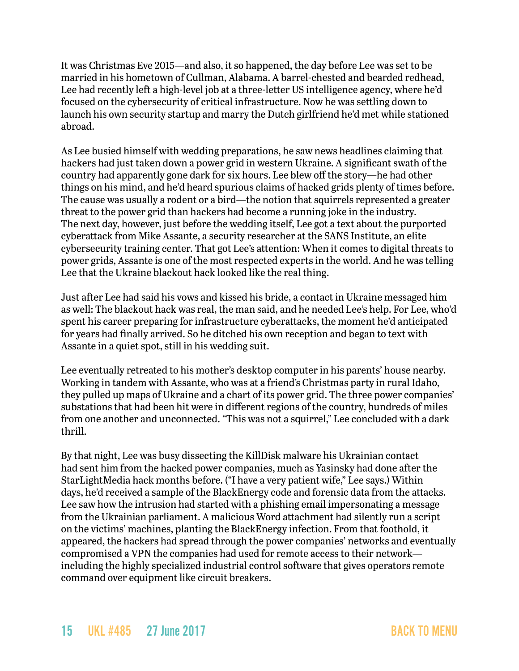It was Christmas Eve 2015—and also, it so happened, the day before Lee was set to be married in his hometown of Cullman, Alabama. A barrel-chested and bearded redhead, Lee had recently left a high-level job at a three-letter US intelligence agency, where he'd focused on the cybersecurity of critical infrastructure. Now he was settling down to launch his own security startup and marry the Dutch girlfriend he'd met while stationed abroad.

As Lee busied himself with wedding preparations, he saw news headlines claiming that hackers had just taken down a power grid in western Ukraine. A significant swath of the country had apparently gone dark for six hours. Lee blew off the story—he had other things on his mind, and he'd heard spurious claims of hacked grids plenty of times before. The cause was usually a rodent or a bird—the notion that squirrels represented a greater threat to the power grid than hackers had become a running joke in the industry. The next day, however, just before the wedding itself, Lee got a text about the purported cyberattack from Mike Assante, a security researcher at the SANS Institute, an elite cybersecurity training center. That got Lee's attention: When it comes to digital threats to power grids, Assante is one of the most respected experts in the world. And he was telling Lee that the Ukraine blackout hack looked like the real thing.

Just after Lee had said his vows and kissed his bride, a contact in Ukraine messaged him as well: The blackout hack was real, the man said, and he needed Lee's help. For Lee, who'd spent his career preparing for infrastructure cyberattacks, the moment he'd anticipated for years had finally arrived. So he ditched his own reception and began to text with Assante in a quiet spot, still in his wedding suit.

Lee eventually retreated to his mother's desktop computer in his parents' house nearby. Working in tandem with Assante, who was at a friend's Christmas party in rural Idaho, they pulled up maps of Ukraine and a chart of its power grid. The three power companies' substations that had been hit were in different regions of the country, hundreds of miles from one another and unconnected. "This was not a squirrel," Lee concluded with a dark thrill.

By that night, Lee was busy dissecting the KillDisk malware his Ukrainian contact had sent him from the hacked power companies, much as Yasinsky had done after the StarLightMedia hack months before. ("I have a very patient wife," Lee says.) Within days, he'd received a sample of the BlackEnergy code and forensic data from the attacks. Lee saw how the intrusion had started with a phishing email impersonating a message from the Ukrainian parliament. A malicious Word attachment had silently run a script on the victims' machines, planting the BlackEnergy infection. From that foothold, it appeared, the hackers had spread through the power companies' networks and eventually compromised a VPN the companies had used for remote access to their network including the highly specialized industrial control software that gives operators remote command over equipment like circuit breakers.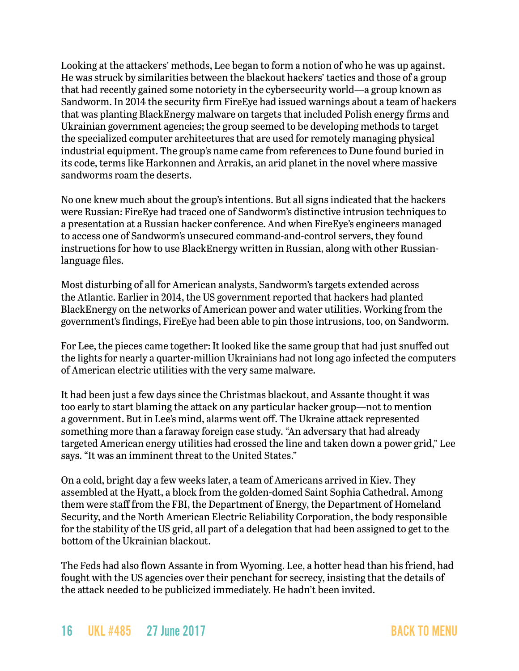Looking at the attackers' methods, Lee began to form a notion of who he was up against. He was struck by similarities between the blackout hackers' tactics and those of a group that had recently gained some notoriety in the cybersecurity world—a group known as Sandworm. In 2014 the security firm FireEye had issued warnings about a team of hackers that was planting BlackEnergy malware on targets that included Polish energy firms and Ukrainian government agencies; the group seemed to be developing methods to target the specialized computer architectures that are used for remotely managing physical industrial equipment. The group's name came from references to Dune found buried in its code, terms like Harkonnen and Arrakis, an arid planet in the novel where massive sandworms roam the deserts.

No one knew much about the group's intentions. But all signs indicated that the hackers were Russian: FireEye had traced one of Sandworm's distinctive intrusion techniques to a presentation at a Russian hacker conference. And when FireEye's engineers managed to access one of Sandworm's unsecured command-and-control servers, they found instructions for how to use BlackEnergy written in Russian, along with other Russianlanguage files.

Most disturbing of all for American analysts, Sandworm's targets extended across the Atlantic. Earlier in 2014, the US government reported that hackers had planted BlackEnergy on the networks of American power and water utilities. Working from the government's findings, FireEye had been able to pin those intrusions, too, on Sandworm.

For Lee, the pieces came together: It looked like the same group that had just snuffed out the lights for nearly a quarter-million Ukrainians had not long ago infected the computers of American electric utilities with the very same malware.

It had been just a few days since the Christmas blackout, and Assante thought it was too early to start blaming the attack on any particular hacker group—not to mention a government. But in Lee's mind, alarms went off. The Ukraine attack represented something more than a faraway foreign case study. "An adversary that had already targeted American energy utilities had crossed the line and taken down a power grid," Lee says. "It was an imminent threat to the United States."

On a cold, bright day a few weeks later, a team of Americans arrived in Kiev. They assembled at the Hyatt, a block from the golden-domed Saint Sophia Cathedral. Among them were staff from the FBI, the Department of Energy, the Department of Homeland Security, and the North American Electric Reliability Corporation, the body responsible for the stability of the US grid, all part of a delegation that had been assigned to get to the bottom of the Ukrainian blackout.

The Feds had also flown Assante in from Wyoming. Lee, a hotter head than his friend, had fought with the US agencies over their penchant for secrecy, insisting that the details of the attack needed to be publicized immediately. He hadn't been invited.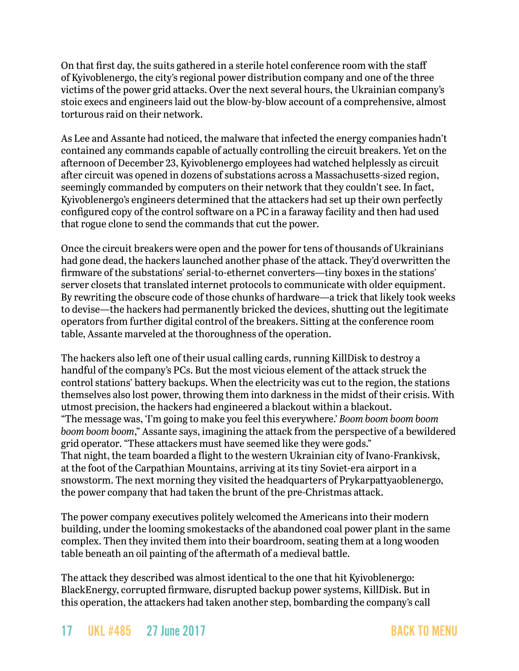On that first day, the suits gathered in a sterile hotel conference room with the staff of Kyivoblenergo, the city's regional power distribution company and one of the three victims of the power grid attacks. Over the next several hours, the Ukrainian company's stoic execs and engineers laid out the blow-by-blow account of a comprehensive, almost torturous raid on their network.

As Lee and Assante had noticed, the malware that infected the energy companies hadn't contained any commands capable of actually controlling the circuit breakers. Yet on the afternoon of December 23, Kyivoblenergo employees had watched helplessly as circuit after circuit was opened in dozens of substations across a Massachusetts-sized region, seemingly commanded by computers on their network that they couldn't see. In fact, Kyivoblenergo's engineers determined that the attackers had set up their own perfectly configured copy of the control software on a PC in a faraway facility and then had used that rogue clone to send the commands that cut the power.

Once the circuit breakers were open and the power for tens of thousands of Ukrainians had gone dead, the hackers launched another phase of the attack. They'd overwritten the firmware of the substations' serial-to-ethernet converters—tiny boxes in the stations' server closets that translated internet protocols to communicate with older equipment. By rewriting the obscure code of those chunks of hardware—a trick that likely took weeks to devise—the hackers had permanently bricked the devices, shutting out the legitimate operators from further digital control of the breakers. Sitting at the conference room table, Assante marveled at the thoroughness of the operation.

The hackers also left one of their usual calling cards, running KillDisk to destroy a handful of the company's PCs. But the most vicious element of the attack struck the control stations' battery backups. When the electricity was cut to the region, the stations themselves also lost power, throwing them into darkness in the midst of their crisis. With utmost precision, the hackers had engineered a blackout within a blackout. "The message was, 'I'm going to make you feel this everywhere.' *Boom boom boom boom boom boom boom*," Assante says, imagining the attack from the perspective of a bewildered grid operator. "These attackers must have seemed like they were gods." That night, the team boarded a flight to the western Ukrainian city of Ivano-Frankivsk, at the foot of the Carpathian Mountains, arriving at its tiny Soviet-era airport in a snowstorm. The next morning they visited the headquarters of Prykarpattyaoblenergo, the power company that had taken the brunt of the pre-Christmas attack.

The power company executives politely welcomed the Americans into their modern building, under the looming smokestacks of the abandoned coal power plant in the same complex. Then they invited them into their boardroom, seating them at a long wooden table beneath an oil painting of the aftermath of a medieval battle.

The attack they described was almost identical to the one that hit Kyivoblenergo: BlackEnergy, corrupted firmware, disrupted backup power systems, KillDisk. But in this operation, the attackers had taken another step, bombarding the company's call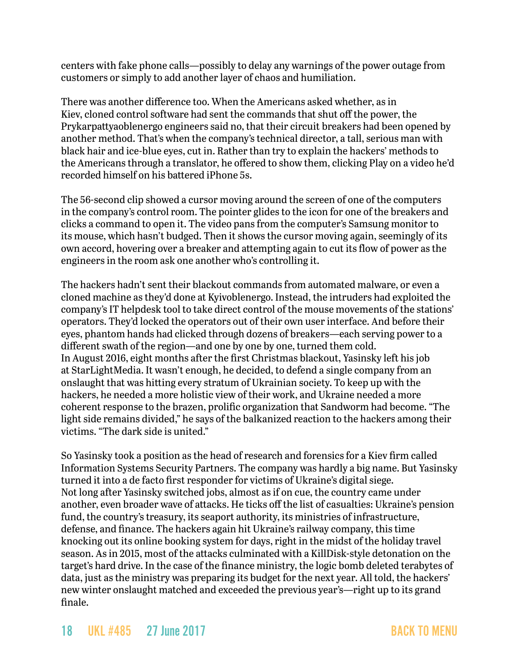centers with fake phone calls—possibly to delay any warnings of the power outage from customers or simply to add another layer of chaos and humiliation.

There was another difference too. When the Americans asked whether, as in Kiev, cloned control software had sent the commands that shut off the power, the Prykarpattyaoblenergo engineers said no, that their circuit breakers had been opened by another method. That's when the company's technical director, a tall, serious man with black hair and ice-blue eyes, cut in. Rather than try to explain the hackers' methods to the Americans through a translator, he offered to show them, clicking Play on a video he'd recorded himself on his battered iPhone 5s.

The 56-second clip showed a cursor moving around the screen of one of the computers in the company's control room. The pointer glides to the icon for one of the breakers and clicks a command to open it. The video pans from the computer's Samsung monitor to its mouse, which hasn't budged. Then it shows the cursor moving again, seemingly of its own accord, hovering over a breaker and attempting again to cut its flow of power as the engineers in the room ask one another who's controlling it.

The hackers hadn't sent their blackout commands from automated malware, or even a cloned machine as they'd done at Kyivoblenergo. Instead, the intruders had exploited the company's IT helpdesk tool to take direct control of the mouse movements of the stations' operators. They'd locked the operators out of their own user interface. And before their eyes, phantom hands had clicked through dozens of breakers—each serving power to a different swath of the region—and one by one by one, turned them cold. In August 2016, eight months after the first Christmas blackout, Yasinsky left his job at StarLightMedia. It wasn't enough, he decided, to defend a single company from an onslaught that was hitting every stratum of Ukrainian society. To keep up with the hackers, he needed a more holistic view of their work, and Ukraine needed a more coherent response to the brazen, prolific organization that Sandworm had become. "The light side remains divided," he says of the balkanized reaction to the hackers among their victims. "The dark side is united."

So Yasinsky took a position as the head of research and forensics for a Kiev firm called Information Systems Security Partners. The company was hardly a big name. But Yasinsky turned it into a de facto first responder for victims of Ukraine's digital siege. Not long after Yasinsky switched jobs, almost as if on cue, the country came under another, even broader wave of attacks. He ticks off the list of casualties: Ukraine's pension fund, the country's treasury, its seaport authority, its ministries of infrastructure, defense, and finance. The hackers again hit Ukraine's railway company, this time knocking out its online booking system for days, right in the midst of the holiday travel season. As in 2015, most of the attacks culminated with a KillDisk-style detonation on the target's hard drive. In the case of the finance ministry, the logic bomb deleted terabytes of data, just as the ministry was preparing its budget for the next year. All told, the hackers' new winter onslaught matched and exceeded the previous year's—right up to its grand finale.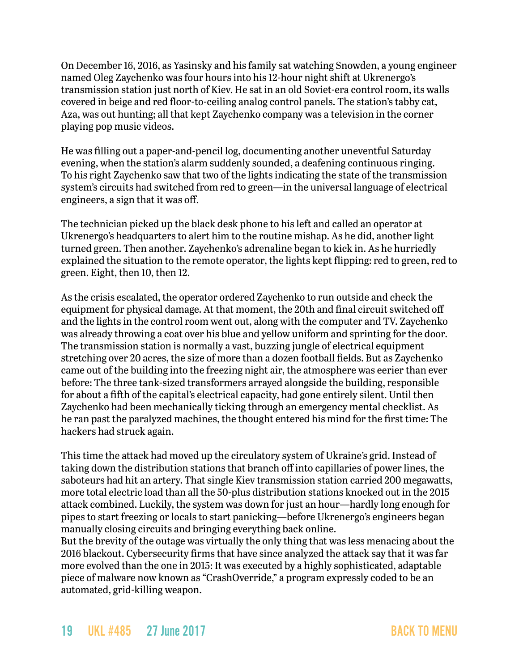On December 16, 2016, as Yasinsky and his family sat watching Snowden, a young engineer named Oleg Zaychenko was four hours into his 12-hour night shift at Ukrenergo's transmission station just north of Kiev. He sat in an old Soviet-era control room, its walls covered in beige and red floor-to-ceiling analog control panels. The station's tabby cat, Aza, was out hunting; all that kept Zaychenko company was a television in the corner playing pop music videos.

He was filling out a paper-and-pencil log, documenting another uneventful Saturday evening, when the station's alarm suddenly sounded, a deafening continuous ringing. To his right Zaychenko saw that two of the lights indicating the state of the transmission system's circuits had switched from red to green—in the universal language of electrical engineers, a sign that it was off.

The technician picked up the black desk phone to his left and called an operator at Ukrenergo's headquarters to alert him to the routine mishap. As he did, another light turned green. Then another. Zaychenko's adrenaline began to kick in. As he hurriedly explained the situation to the remote operator, the lights kept flipping: red to green, red to green. Eight, then 10, then 12.

As the crisis escalated, the operator ordered Zaychenko to run outside and check the equipment for physical damage. At that moment, the 20th and final circuit switched off and the lights in the control room went out, along with the computer and TV. Zaychenko was already throwing a coat over his blue and yellow uniform and sprinting for the door. The transmission station is normally a vast, buzzing jungle of electrical equipment stretching over 20 acres, the size of more than a dozen football fields. But as Zaychenko came out of the building into the freezing night air, the atmosphere was eerier than ever before: The three tank-sized transformers arrayed alongside the building, responsible for about a fifth of the capital's electrical capacity, had gone entirely silent. Until then Zaychenko had been mechanically ticking through an emergency mental checklist. As he ran past the paralyzed machines, the thought entered his mind for the first time: The hackers had struck again.

This time the attack had moved up the circulatory system of Ukraine's grid. Instead of taking down the distribution stations that branch off into capillaries of power lines, the saboteurs had hit an artery. That single Kiev transmission station carried 200 megawatts, more total electric load than all the 50-plus distribution stations knocked out in the 2015 attack combined. Luckily, the system was down for just an hour—hardly long enough for pipes to start freezing or locals to start panicking—before Ukrenergo's engineers began manually closing circuits and bringing everything back online.

But the brevity of the outage was virtually the only thing that was less menacing about the 2016 blackout. Cybersecurity firms that have since analyzed the attack say that it was far more evolved than the one in 2015: It was executed by a highly sophisticated, adaptable piece of malware now known as "CrashOverride," a program expressly coded to be an automated, grid-killing weapon.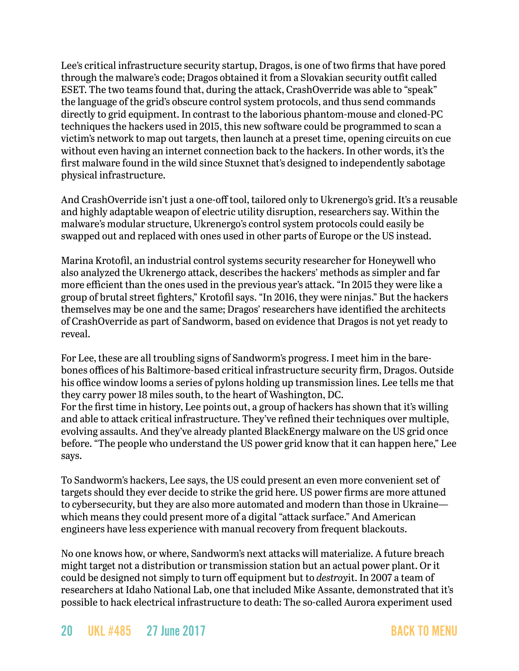Lee's critical infrastructure security startup, Dragos, is one of two firms that have pored through the malware's code; Dragos obtained it from a Slovakian security outfit called ESET. The two teams found that, during the attack, CrashOverride was able to "speak" the language of the grid's obscure control system protocols, and thus send commands directly to grid equipment. In contrast to the laborious phantom-mouse and cloned-PC techniques the hackers used in 2015, this new software could be programmed to scan a victim's network to map out targets, then launch at a preset time, opening circuits on cue without even having an internet connection back to the hackers. In other words, it's the first malware found in the wild since Stuxnet that's designed to independently sabotage physical infrastructure.

And CrashOverride isn't just a one-off tool, tailored only to Ukrenergo's grid. It's a reusable and highly adaptable weapon of electric utility disruption, researchers say. Within the malware's modular structure, Ukrenergo's control system protocols could easily be swapped out and replaced with ones used in other parts of Europe or the US instead.

Marina Krotofil, an industrial control systems security researcher for Honeywell who also analyzed the Ukrenergo attack, describes the hackers' methods as simpler and far more efficient than the ones used in the previous year's attack. "In 2015 they were like a group of brutal street fighters," Krotofil says. "In 2016, they were ninjas." But the hackers themselves may be one and the same; Dragos' researchers have identified the architects of CrashOverride as part of Sandworm, based on evidence that Dragos is not yet ready to reveal.

For Lee, these are all troubling signs of Sandworm's progress. I meet him in the barebones offices of his Baltimore-based critical infrastructure security firm, Dragos. Outside his office window looms a series of pylons holding up transmission lines. Lee tells me that they carry power 18 miles south, to the heart of Washington, DC. For the first time in history, Lee points out, a group of hackers has shown that it's willing and able to attack critical infrastructure. They've refined their techniques over multiple, evolving assaults. And they've already planted BlackEnergy malware on the US grid once before. "The people who understand the US power grid know that it can happen here," Lee says.

To Sandworm's hackers, Lee says, the US could present an even more convenient set of targets should they ever decide to strike the grid here. US power firms are more attuned to cybersecurity, but they are also more automated and modern than those in Ukraine which means they could present more of a digital "attack surface." And American engineers have less experience with manual recovery from frequent blackouts.

No one knows how, or where, Sandworm's next attacks will materialize. A future breach might target not a distribution or transmission station but an actual power plant. Or it could be designed not simply to turn off equipment but to *destroy*it. In 2007 a team of researchers at Idaho National Lab, one that included Mike Assante, demonstrated that it's possible to hack electrical infrastructure to death: The so-called Aurora experiment used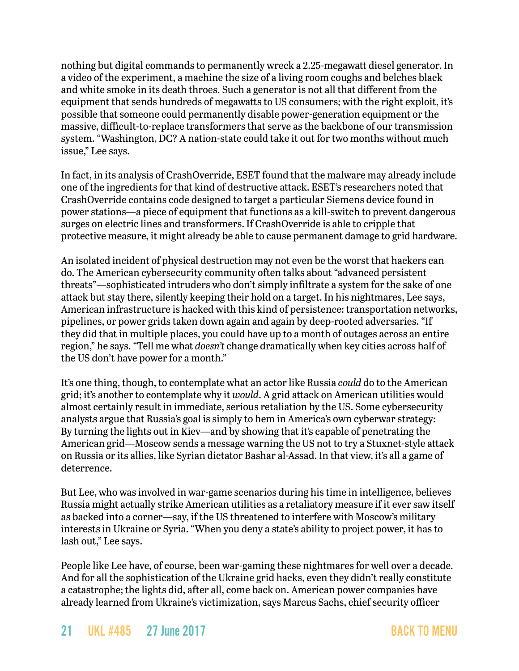nothing but digital commands to permanently wreck a 2.25-megawatt diesel generator. In a video of the experiment, a machine the size of a living room coughs and belches black and white smoke in its death throes. Such a generator is not all that different from the equipment that sends hundreds of megawatts to US consumers; with the right exploit, it's possible that someone could permanently disable power-generation equipment or the massive, difficult-to-replace transformers that serve as the backbone of our transmission system. "Washington, DC? A nation-state could take it out for two months without much issue," Lee says.

In fact, in its analysis of CrashOverride, ESET found that the malware may already include one of the ingredients for that kind of destructive attack. ESET's researchers noted that CrashOverride contains code designed to target a particular Siemens device found in power stations—a piece of equipment that functions as a kill-switch to prevent dangerous surges on electric lines and transformers. If CrashOverride is able to cripple that protective measure, it might already be able to cause permanent damage to grid hardware.

An isolated incident of physical destruction may not even be the worst that hackers can do. The American cybersecurity community often talks about "advanced persistent threats"—sophisticated intruders who don't simply infiltrate a system for the sake of one attack but stay there, silently keeping their hold on a target. In his nightmares, Lee says, American infrastructure is hacked with this kind of persistence: transportation networks, pipelines, or power grids taken down again and again by deep-rooted adversaries. "If they did that in multiple places, you could have up to a month of outages across an entire region," he says. "Tell me what *doesn't* change dramatically when key cities across half of the US don't have power for a month."

It's one thing, though, to contemplate what an actor like Russia *could* do to the American grid; it's another to contemplate why it *would*. A grid attack on American utilities would almost certainly result in immediate, serious retaliation by the US. Some cybersecurity analysts argue that Russia's goal is simply to hem in America's own cyberwar strategy: By turning the lights out in Kiev—and by showing that it's capable of penetrating the American grid—Moscow sends a message warning the US not to try a Stuxnet-style attack on Russia or its allies, like Syrian dictator Bashar al-Assad. In that view, it's all a game of deterrence.

But Lee, who was involved in war-game scenarios during his time in intelligence, believes Russia might actually strike American utilities as a retaliatory measure if it ever saw itself as backed into a corner—say, if the US threatened to interfere with Moscow's military interests in Ukraine or Syria. "When you deny a state's ability to project power, it has to lash out," Lee says.

People like Lee have, of course, been war-gaming these nightmares for well over a decade. And for all the sophistication of the Ukraine grid hacks, even they didn't really constitute a catastrophe; the lights did, after all, come back on. American power companies have already learned from Ukraine's victimization, says Marcus Sachs, chief security officer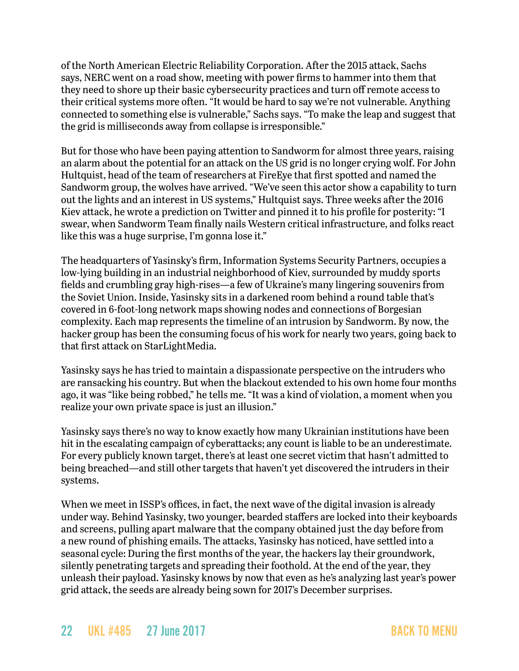of the North American Electric Reliability Corporation. After the 2015 attack, Sachs says, NERC went on a road show, meeting with power firms to hammer into them that they need to shore up their basic cybersecurity practices and turn off remote access to their critical systems more often. "It would be hard to say we're not vulnerable. Anything connected to something else is vulnerable," Sachs says. "To make the leap and suggest that the grid is milliseconds away from collapse is irresponsible."

But for those who have been paying attention to Sandworm for almost three years, raising an alarm about the potential for an attack on the US grid is no longer crying wolf. For John Hultquist, head of the team of researchers at FireEye that first spotted and named the Sandworm group, the wolves have arrived. "We've seen this actor show a capability to turn out the lights and an interest in US systems," Hultquist says. Three weeks after the 2016 Kiev attack, he wrote a prediction on Twitter and pinned it to his profile for posterity: "I swear, when Sandworm Team finally nails Western critical infrastructure, and folks react like this was a huge surprise, I'm gonna lose it."

The headquarters of Yasinsky's firm, Information Systems Security Partners, occupies a low-lying building in an industrial neighborhood of Kiev, surrounded by muddy sports fields and crumbling gray high-rises—a few of Ukraine's many lingering souvenirs from the Soviet Union. Inside, Yasinsky sits in a darkened room behind a round table that's covered in 6-foot-long network maps showing nodes and connections of Borgesian complexity. Each map represents the timeline of an intrusion by Sandworm. By now, the hacker group has been the consuming focus of his work for nearly two years, going back to that first attack on StarLightMedia.

Yasinsky says he has tried to maintain a dispassionate perspective on the intruders who are ransacking his country. But when the blackout extended to his own home four months ago, it was "like being robbed," he tells me. "It was a kind of violation, a moment when you realize your own private space is just an illusion."

Yasinsky says there's no way to know exactly how many Ukrainian institutions have been hit in the escalating campaign of cyberattacks; any count is liable to be an underestimate. For every publicly known target, there's at least one secret victim that hasn't admitted to being breached—and still other targets that haven't yet discovered the intruders in their systems.

When we meet in ISSP's offices, in fact, the next wave of the digital invasion is already under way. Behind Yasinsky, two younger, bearded staffers are locked into their keyboards and screens, pulling apart malware that the company obtained just the day before from a new round of phishing emails. The attacks, Yasinsky has noticed, have settled into a seasonal cycle: During the first months of the year, the hackers lay their groundwork, silently penetrating targets and spreading their foothold. At the end of the year, they unleash their payload. Yasinsky knows by now that even as he's analyzing last year's power grid attack, the seeds are already being sown for 2017's December surprises.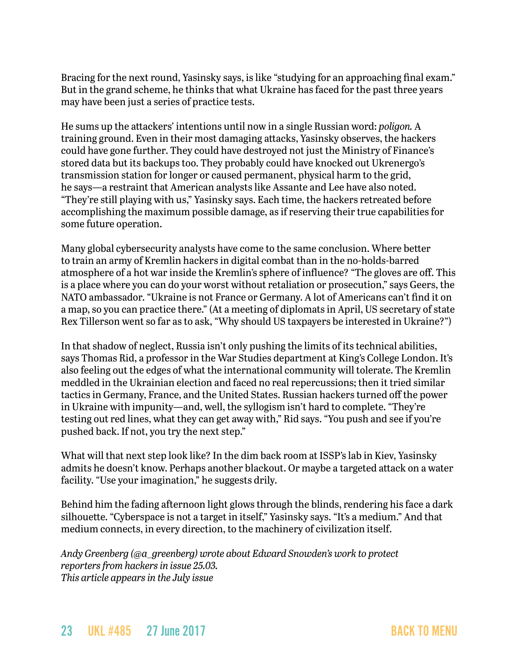Bracing for the next round, Yasinsky says, is like "studying for an approaching final exam." But in the grand scheme, he thinks that what Ukraine has faced for the past three years may have been just a series of practice tests.

He sums up the attackers' intentions until now in a single Russian word: *poligon.* A training ground. Even in their most damaging attacks, Yasinsky observes, the hackers could have gone further. They could have destroyed not just the Ministry of Finance's stored data but its backups too. They probably could have knocked out Ukrenergo's transmission station for longer or caused permanent, physical harm to the grid, he says—a restraint that American analysts like Assante and Lee have also noted. "They're still playing with us," Yasinsky says. Each time, the hackers retreated before accomplishing the maximum possible damage, as if reserving their true capabilities for some future operation.

Many global cybersecurity analysts have come to the same conclusion. Where better to train an army of Kremlin hackers in digital combat than in the no-holds-barred atmosphere of a hot war inside the Kremlin's sphere of influence? "The gloves are off. This is a place where you can do your worst without retaliation or prosecution," says Geers, the NATO ambassador. "Ukraine is not France or Germany. A lot of Americans can't find it on a map, so you can practice there." (At a meeting of diplomats in April, US secretary of state Rex Tillerson went so far as to ask, "Why should US taxpayers be interested in Ukraine?")

In that shadow of neglect, Russia isn't only pushing the limits of its technical abilities, says Thomas Rid, a professor in the War Studies department at King's College London. It's also feeling out the edges of what the international community will tolerate. The Kremlin meddled in the Ukrainian election and faced no real repercussions; then it tried similar tactics in Germany, France, and the United States. Russian hackers turned off the power in Ukraine with impunity—and, well, the syllogism isn't hard to complete. "They're testing out red lines, what they can get away with," Rid says. "You push and see if you're pushed back. If not, you try the next step."

What will that next step look like? In the dim back room at ISSP's lab in Kiev, Yasinsky admits he doesn't know. Perhaps another blackout. Or maybe a targeted attack on a water facility. "Use your imagination," he suggests drily.

Behind him the fading afternoon light glows through the blinds, rendering his face a dark silhouette. "Cyberspace is not a target in itself," Yasinsky says. "It's a medium." And that medium connects, in every direction, to the machinery of civilization itself.

*Andy Greenberg ([@a\\_greenberg\)](http://twitter.com/a_greenberg) wrote about Edward Snowden's work to protect reporters from hackers in issue 25.03. This article appears in the July issue*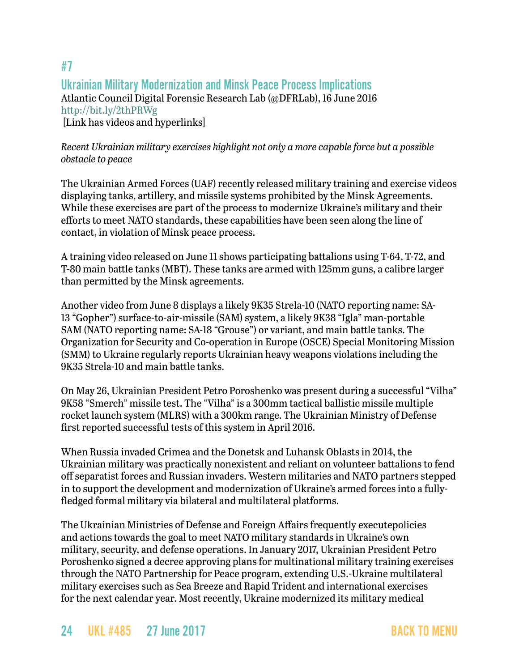## <span id="page-23-0"></span>#7 Ukrainian Military Modernization and Minsk Peace Process Implications Atlantic Council Digital Forensic Research Lab (@DFRLab), 16 June 2016 <http://bit.ly/2thPRWg> [Link has videos and hyperlinks]

#### *Recent Ukrainian military exercises highlight not only a more capable force but a possible obstacle to peace*

The Ukrainian Armed Forces (UAF) recently released military training and exercise videos displaying tanks, artillery, and missile systems prohibited by the Minsk Agreements. While these exercises are part of the process to modernize Ukraine's military and their efforts to meet NATO standards, these capabilities have been seen along the line of contact, in violation of Minsk peace process.

A training video released on June 11 shows participating battalions using T-64, T-72, and T-80 main battle tanks (MBT). These tanks are armed with 125mm guns, a calibre larger than permitted by the Minsk agreements.

Another video from June 8 displays a likely 9K35 Strela-10 (NATO reporting name: SA-13 "Gopher") surface-to-air-missile (SAM) system, a likely 9K38 "Igla" man-portable SAM (NATO reporting name: SA-18 "Grouse") or variant, and main battle tanks. The Organization for Security and Co-operation in Europe (OSCE) Special Monitoring Mission (SMM) to Ukraine regularly reports Ukrainian heavy weapons violations including the 9K35 Strela-10 and main battle tanks.

On May 26, Ukrainian President Petro Poroshenko was present during a successful "Vilha" 9K58 "Smerch" missile test. The "Vilha" is a 300mm tactical ballistic missile multiple rocket launch system (MLRS) with a 300km range. The Ukrainian Ministry of Defense first reported successful tests of this system in April 2016.

When Russia invaded Crimea and the Donetsk and Luhansk Oblasts in 2014, the Ukrainian military was practically nonexistent and reliant on volunteer battalions to fend off separatist forces and Russian invaders. Western militaries and NATO partners stepped in to support the development and modernization of Ukraine's armed forces into a fullyfledged formal military via bilateral and multilateral platforms.

The Ukrainian Ministries of Defense and Foreign Affairs frequently executepolicies and actions towards the goal to meet NATO military standards in Ukraine's own military, security, and defense operations. In January 2017, Ukrainian President Petro Poroshenko signed a decree approving plans for multinational military training exercises through the NATO Partnership for Peace program, extending U.S.-Ukraine multilateral military exercises such as Sea Breeze and Rapid Trident and international exercises for the next calendar year. Most recently, Ukraine modernized its military medical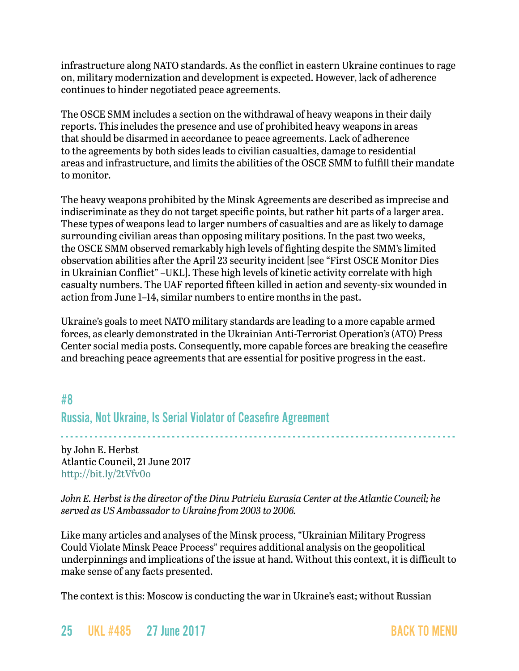infrastructure along NATO standards. As the conflict in eastern Ukraine continues to rage on, military modernization and development is expected. However, lack of adherence continues to hinder negotiated peace agreements.

The OSCE SMM includes a section on the withdrawal of heavy weapons in their daily reports. This includes the presence and use of prohibited heavy weapons in areas that should be disarmed in accordance to peace agreements. Lack of adherence to the agreements by both sides leads to civilian casualties, damage to residential areas and infrastructure, and limits the abilities of the OSCE SMM to fulfill their mandate to monitor.

The heavy weapons prohibited by the Minsk Agreements are described as imprecise and indiscriminate as they do not target specific points, but rather hit parts of a larger area. These types of weapons lead to larger numbers of casualties and are as likely to damage surrounding civilian areas than opposing military positions. In the past two weeks, the OSCE SMM observed remarkably high levels of fighting despite the SMM's limited observation abilities after the April 23 security incident [see "First OSCE Monitor Dies in Ukrainian Conflict" –UKL]. These high levels of kinetic activity correlate with high casualty numbers. The UAF reported fifteen killed in action and seventy-six wounded in action from June 1–14, similar numbers to entire months in the past.

Ukraine's goals to meet NATO military standards are leading to a more capable armed forces, as clearly demonstrated in the Ukrainian Anti-Terrorist Operation's (ATO) Press Center social media posts. Consequently, more capable forces are breaking the ceasefire and breaching peace agreements that are essential for positive progress in the east.

<span id="page-24-0"></span>#8

Russia, Not Ukraine, Is Serial Violator of Ceasefire Agreement

- - - - - - - - - - - - - - - - - - - - - - - - - - - - - - - - - - - - - - - - - - - - - - - - - - - - - - - - - - - - - - - - - - - - - - - - - - - - - - - - - by John E. Herbst Atlantic Council, 21 June 2017 <http://bit.ly/2tVfv0o>

*John E. Herbst is the director of the Dinu Patriciu Eurasia Center at the Atlantic Council; he served as US Ambassador to Ukraine from 2003 to 2006.*

Like many articles and analyses of the Minsk process, "Ukrainian Military Progress Could Violate Minsk Peace Process" requires additional analysis on the geopolitical underpinnings and implications of the issue at hand. Without this context, it is difficult to make sense of any facts presented.

The context is this: Moscow is conducting the war in Ukraine's east; without Russian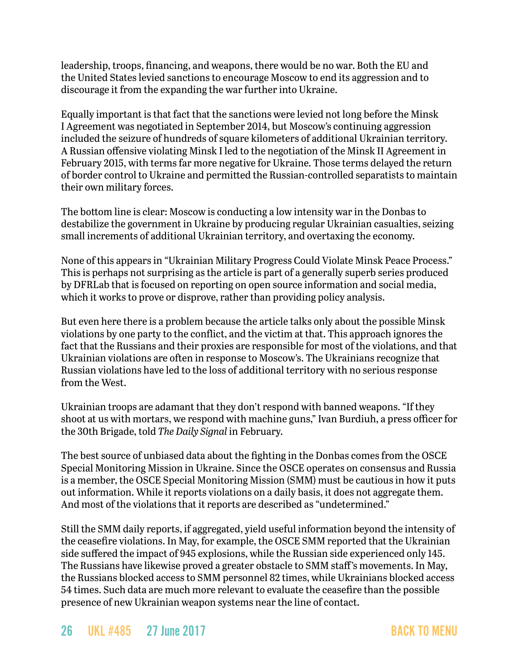leadership, troops, financing, and weapons, there would be no war. Both the EU and the United States levied sanctions to encourage Moscow to end its aggression and to discourage it from the expanding the war further into Ukraine.

Equally important is that fact that the sanctions were levied not long before the Minsk I Agreement was negotiated in September 2014, but Moscow's continuing aggression included the seizure of hundreds of square kilometers of additional Ukrainian territory. A Russian offensive violating Minsk I led to the negotiation of the Minsk II Agreement in February 2015, with terms far more negative for Ukraine. Those terms delayed the return of border control to Ukraine and permitted the Russian-controlled separatists to maintain their own military forces.

The bottom line is clear: Moscow is conducting a low intensity war in the Donbas to destabilize the government in Ukraine by producing regular Ukrainian casualties, seizing small increments of additional Ukrainian territory, and overtaxing the economy.

None of this appears in "Ukrainian Military Progress Could Violate Minsk Peace Process." This is perhaps not surprising as the article is part of a generally superb series produced by DFRLab that is focused on reporting on open source information and social media, which it works to prove or disprove, rather than providing policy analysis.

But even here there is a problem because the article talks only about the possible Minsk violations by one party to the conflict, and the victim at that. This approach ignores the fact that the Russians and their proxies are responsible for most of the violations, and that Ukrainian violations are often in response to Moscow's. The Ukrainians recognize that Russian violations have led to the loss of additional territory with no serious response from the West.

Ukrainian troops are adamant that they don't respond with banned weapons. "If they shoot at us with mortars, we respond with machine guns," Ivan Burdiuh, a press officer for the 30th Brigade, told *The Daily Signal* in February.

The best source of unbiased data about the fighting in the Donbas comes from the OSCE Special Monitoring Mission in Ukraine. Since the OSCE operates on consensus and Russia is a member, the OSCE Special Monitoring Mission (SMM) must be cautious in how it puts out information. While it reports violations on a daily basis, it does not aggregate them. And most of the violations that it reports are described as "undetermined."

Still the SMM daily reports, if aggregated, yield useful information beyond the intensity of the ceasefire violations. In May, for example, the OSCE SMM reported that the Ukrainian side suffered the impact of 945 explosions, while the Russian side experienced only 145. The Russians have likewise proved a greater obstacle to SMM staff's movements. In May, the Russians blocked access to SMM personnel 82 times, while Ukrainians blocked access 54 times. Such data are much more relevant to evaluate the ceasefire than the possible presence of new Ukrainian weapon systems near the line of contact.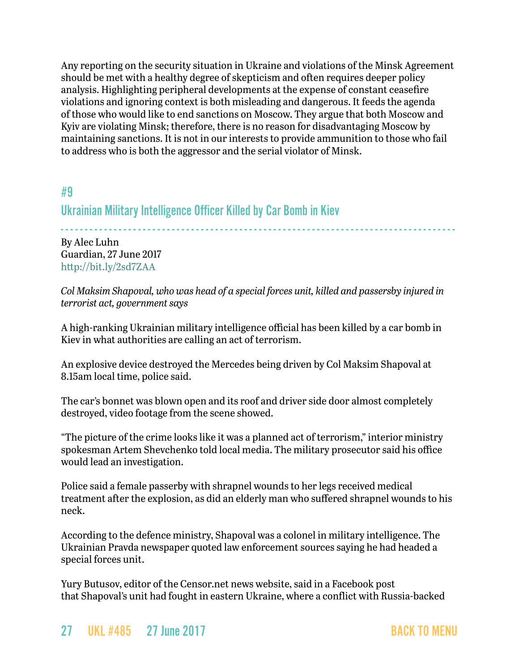Any reporting on the security situation in Ukraine and violations of the Minsk Agreement should be met with a healthy degree of skepticism and often requires deeper policy analysis. Highlighting peripheral developments at the expense of constant ceasefire violations and ignoring context is both misleading and dangerous. It feeds the agenda of those who would like to end sanctions on Moscow. They argue that both Moscow and Kyiv are violating Minsk; therefore, there is no reason for disadvantaging Moscow by maintaining sanctions. It is not in our interests to provide ammunition to those who fail to address who is both the aggressor and the serial violator of Minsk.

## <span id="page-26-0"></span>#9

## Ukrainian Military Intelligence Officer Killed by Car Bomb in Kiev

- - - - - - - - - - - - - - - - - - - - - - - - - - - - - - - - - - - - - - - - - - - - - - - - - - - - - - - - - - - - - - - - - - - - - - - - - - - - - - - - - -

By Alec Luhn Guardian, 27 June 2017 <http://bit.ly/2sd7ZAA>

*Col Maksim Shapoval, who was head of a special forces unit, killed and passersby injured in terrorist act, government says*

A high-ranking Ukrainian military intelligence official has been killed by a car bomb in Kiev in what authorities are calling an act of terrorism.

An explosive device destroyed the Mercedes being driven by Col Maksim Shapoval at 8.15am local time, police said.

The car's bonnet was blown open and its roof and driver side door almost completely destroyed, video footage from the scene showed.

"The picture of the crime looks like it was a planned act of terrorism," interior ministry spokesman Artem Shevchenko told local media. The military prosecutor said his office would lead an investigation.

Police said a female passerby with shrapnel wounds to her legs received medical treatment after the explosion, as did an elderly man who suffered shrapnel wounds to his neck.

According to the defence ministry, Shapoval was a colonel in military intelligence. The Ukrainian Pravda newspaper quoted law enforcement sources saying he had headed a special forces unit.

Yury Butusov, editor of the Censor.net news website, said in a Facebook post that Shapoval's unit had fought in eastern Ukraine, where a conflict with Russia-backed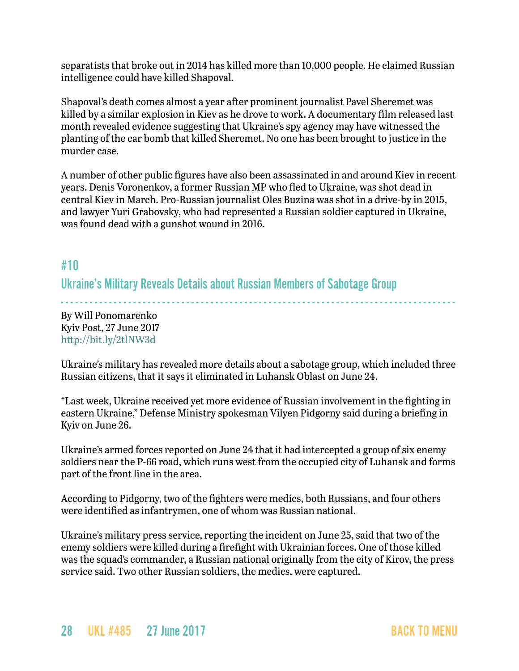separatists that broke out in 2014 has killed more than 10,000 people. He claimed Russian intelligence could have killed Shapoval.

Shapoval's death comes almost a year after prominent journalist Pavel Sheremet was killed by a similar explosion in Kiev as he drove to work. A documentary film released last month revealed evidence suggesting that Ukraine's spy agency may have witnessed the planting of the car bomb that killed Sheremet. No one has been brought to justice in the murder case.

A number of other public figures have also been assassinated in and around Kiev in recent years. Denis Voronenkov, a former Russian MP who fled to Ukraine, was shot dead in central Kiev in March. Pro-Russian journalist Oles Buzina was shot in a drive-by in 2015, and lawyer Yuri Grabovsky, who had represented a Russian soldier captured in Ukraine, was found dead with a gunshot wound in 2016.

## #10

Ukraine's Military Reveals Details about Russian Members of Sabotage Group

- - - - - - - - - - - - - - - - - - - - - - - - - - - - - - - - - - - - - - - - - - - - - - - - - - - - - - - - - - - - - - - - - - - - - - - - - - - - - - - - - - By Will Ponomarenko Kyiv Post, 27 June 2017 <http://bit.ly/2tlNW3d>

Ukraine's military has revealed more details about a sabotage group, which included three Russian citizens, that it says it eliminated in Luhansk Oblast on June 24.

"Last week, Ukraine received yet more evidence of Russian involvement in the fighting in eastern Ukraine," Defense Ministry spokesman Vilyen Pidgorny said during a briefing in Kyiv on June 26.

Ukraine's armed forces reported on June 24 that it had intercepted a group of six enemy soldiers near the P-66 road, which runs west from the occupied city of Luhansk and forms part of the front line in the area.

According to Pidgorny, two of the fighters were medics, both Russians, and four others were identified as infantrymen, one of whom was Russian national.

Ukraine's military press service, reporting the incident on June 25, said that two of the enemy soldiers were killed during a firefight with Ukrainian forces. One of those killed was the squad's commander, a Russian national originally from the city of Kirov, the press service said. Two other Russian soldiers, the medics, were captured.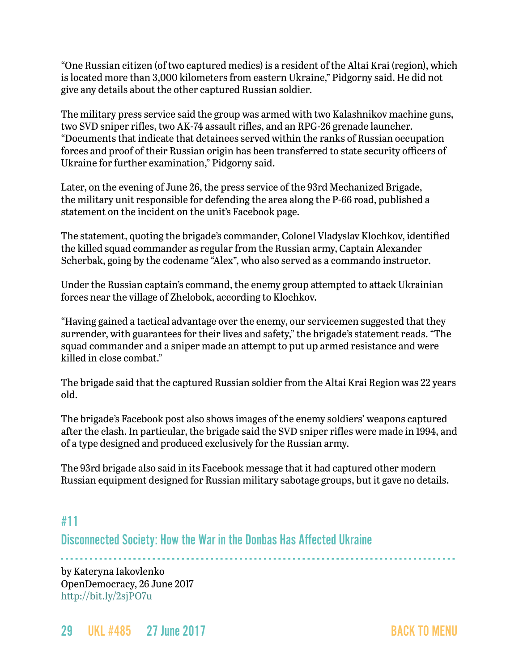"One Russian citizen (of two captured medics) is a resident of the Altai Krai (region), which is located more than 3,000 kilometers from eastern Ukraine," Pidgorny said. He did not give any details about the other captured Russian soldier.

The military press service said the group was armed with two Kalashnikov machine guns, two SVD sniper rifles, two AK-74 assault rifles, and an RPG-26 grenade launcher. "Documents that indicate that detainees served within the ranks of Russian occupation forces and proof of their Russian origin has been transferred to state security officers of Ukraine for further examination," Pidgorny said.

Later, on the evening of June 26, the press service of the 93rd Mechanized Brigade, the military unit responsible for defending the area along the P-66 road, published a statement on the incident on the unit's Facebook page.

The statement, quoting the brigade's commander, Colonel Vladyslav Klochkov, identified the killed squad commander as regular from the Russian army, Captain Alexander Scherbak, going by the codename "Alex", who also served as a commando instructor.

Under the Russian captain's command, the enemy group attempted to attack Ukrainian forces near the village of Zhelobok, according to Klochkov.

"Having gained a tactical advantage over the enemy, our servicemen suggested that they surrender, with guarantees for their lives and safety," the brigade's statement reads. "The squad commander and a sniper made an attempt to put up armed resistance and were killed in close combat."

The brigade said that the captured Russian soldier from the Altai Krai Region was 22 years old.

The brigade's Facebook post also shows images of the enemy soldiers' weapons captured after the clash. In particular, the brigade said the SVD sniper rifles were made in 1994, and of a type designed and produced exclusively for the Russian army.

The 93rd brigade also said in its Facebook message that it had captured other modern Russian equipment designed for Russian military sabotage groups, but it gave no details.

## <span id="page-28-0"></span>#11

Disconnected Society: How the War in the Donbas Has Affected Ukraine

- - - - - - - - - - - - - - - - - - - - - - - - - - - - - - - - - - - - - - - - - - - - - - - - - - - - - - - - - - - - - - - - - - - - - - - - - - - - - - - - - by Kateryna Iakovlenko OpenDemocracy, 26 June 2017 <http://bit.ly/2sjPO7u>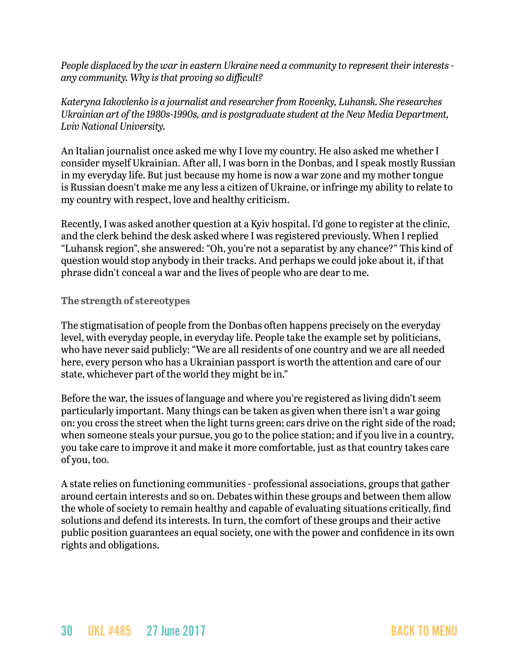*People displaced by the war in eastern Ukraine need a community to represent their interests any community. Why is that proving so difficult?* 

*Kateryna Iakovlenko is a journalist and researcher from Rovenky, Luhansk. She researches Ukrainian art of the 1980s-1990s, and is postgraduate student at the New Media Department, Lviv National University.* 

An Italian journalist once asked me why I love my country. He also asked me whether I consider myself Ukrainian. After all, I was born in the Donbas, and I speak mostly Russian in my everyday life. But just because my home is now a war zone and my mother tongue is Russian doesn't make me any less a citizen of Ukraine, or infringe my ability to relate to my country with respect, love and healthy criticism.

Recently, I was asked another question at a Kyiv hospital. I'd gone to register at the clinic, and the clerk behind the desk asked where I was registered previously. When I replied "Luhansk region", she answered: "Oh, you're not a separatist by any chance?" This kind of question would stop anybody in their tracks. And perhaps we could joke about it, if that phrase didn't conceal a war and the lives of people who are dear to me.

#### **The strength of stereotypes**

The stigmatisation of people from the Donbas often happens precisely on the everyday level, with everyday people, in everyday life. People take the example set by politicians, who have never said publicly: "We are all residents of one country and we are all needed here, every person who has a Ukrainian passport is worth the attention and care of our state, whichever part of the world they might be in."

Before the war, the issues of language and where you're registered as living didn't seem particularly important. Many things can be taken as given when there isn't a war going on: you cross the street when the light turns green; cars drive on the right side of the road; when someone steals your pursue, you go to the police station; and if you live in a country, you take care to improve it and make it more comfortable, just as that country takes care of you, too.

A state relies on functioning communities - professional associations, groups that gather around certain interests and so on. Debates within these groups and between them allow the whole of society to remain healthy and capable of evaluating situations critically, find solutions and defend its interests. In turn, the comfort of these groups and their active public position guarantees an equal society, one with the power and confidence in its own rights and obligations.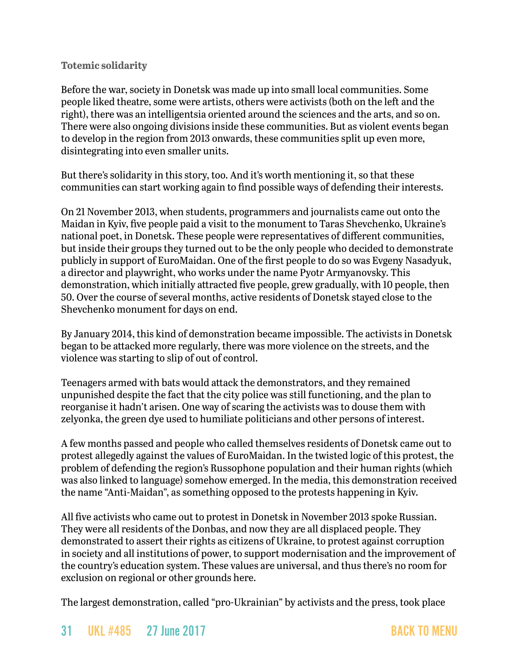#### **Totemic solidarity**

Before the war, society in Donetsk was made up into small local communities. Some people liked theatre, some were artists, others were activists (both on the left and the right), there was an intelligentsia oriented around the sciences and the arts, and so on. There were also ongoing divisions inside these communities. But as violent events began to develop in the region from 2013 onwards, these communities split up even more, disintegrating into even smaller units.

But there's solidarity in this story, too. And it's worth mentioning it, so that these communities can start working again to find possible ways of defending their interests.

On 21 November 2013, when students, programmers and journalists came out onto the Maidan in Kyiv, five people paid a visit to the monument to Taras Shevchenko, Ukraine's national poet, in Donetsk. These people were representatives of different communities, but inside their groups they turned out to be the only people who decided to demonstrate publicly in support of EuroMaidan. One of the first people to do so was Evgeny Nasadyuk, a director and playwright, who works under the name Pyotr Armyanovsky. This demonstration, which initially attracted five people, grew gradually, with 10 people, then 50. Over the course of several months, active residents of Donetsk stayed close to the Shevchenko monument for days on end.

By January 2014, this kind of demonstration became impossible. The activists in Donetsk began to be attacked more regularly, there was more violence on the streets, and the violence was starting to slip of out of control.

Teenagers armed with bats would attack the demonstrators, and they remained unpunished despite the fact that the city police was still functioning, and the plan to reorganise it hadn't arisen. One way of scaring the activists was to douse them with zelyonka, the green dye used to humiliate politicians and other persons of interest.

A few months passed and people who called themselves residents of Donetsk came out to protest allegedly against the values of EuroMaidan. In the twisted logic of this protest, the problem of defending the region's Russophone population and their human rights (which was also linked to language) somehow emerged. In the media, this demonstration received the name "Anti-Maidan", as something opposed to the protests happening in Kyiv.

All five activists who came out to protest in Donetsk in November 2013 spoke Russian. They were all residents of the Donbas, and now they are all displaced people. They demonstrated to assert their rights as citizens of Ukraine, to protest against corruption in society and all institutions of power, to support modernisation and the improvement of the country's education system. These values are universal, and thus there's no room for exclusion on regional or other grounds here.

The largest demonstration, called "pro-Ukrainian" by activists and the press, took place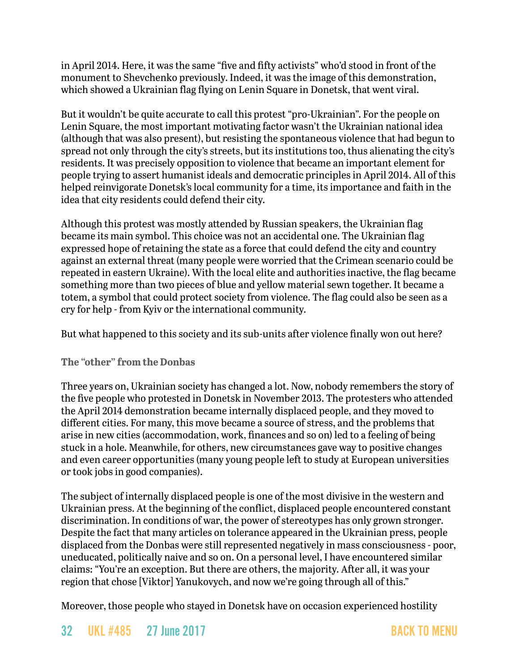in April 2014. Here, it was the same "five and fifty activists" who'd stood in front of the monument to Shevchenko previously. Indeed, it was the image of this demonstration, which showed a Ukrainian flag flying on Lenin Square in Donetsk, that went viral.

But it wouldn't be quite accurate to call this protest "pro-Ukrainian". For the people on Lenin Square, the most important motivating factor wasn't the Ukrainian national idea (although that was also present), but resisting the spontaneous violence that had begun to spread not only through the city's streets, but its institutions too, thus alienating the city's residents. It was precisely opposition to violence that became an important element for people trying to assert humanist ideals and democratic principles in April 2014. All of this helped reinvigorate Donetsk's local community for a time, its importance and faith in the idea that city residents could defend their city.

Although this protest was mostly attended by Russian speakers, the Ukrainian flag became its main symbol. This choice was not an accidental one. The Ukrainian flag expressed hope of retaining the state as a force that could defend the city and country against an external threat (many people were worried that the Crimean scenario could be repeated in eastern Ukraine). With the local elite and authorities inactive, the flag became something more than two pieces of blue and yellow material sewn together. It became a totem, a symbol that could protect society from violence. The flag could also be seen as a cry for help - from Kyiv or the international community.

But what happened to this society and its sub-units after violence finally won out here?

#### **The "other" from the Donbas**

Three years on, Ukrainian society has changed a lot. Now, nobody remembers the story of the five people who protested in Donetsk in November 2013. The protesters who attended the April 2014 demonstration became internally displaced people, and they moved to different cities. For many, this move became a source of stress, and the problems that arise in new cities (accommodation, work, finances and so on) led to a feeling of being stuck in a hole. Meanwhile, for others, new circumstances gave way to positive changes and even career opportunities (many young people left to study at European universities or took jobs in good companies).

The subject of internally displaced people is one of the most divisive in the western and Ukrainian press. At the beginning of the conflict, displaced people encountered constant discrimination. In conditions of war, the power of stereotypes has only grown stronger. Despite the fact that many articles on tolerance appeared in the Ukrainian press, people displaced from the Donbas were still represented negatively in mass consciousness - poor, uneducated, politically naive and so on. On a personal level, I have encountered similar claims: "You're an exception. But there are others, the majority. After all, it was your region that chose [Viktor] Yanukovych, and now we're going through all of this."

Moreover, those people who stayed in Donetsk have on occasion experienced hostility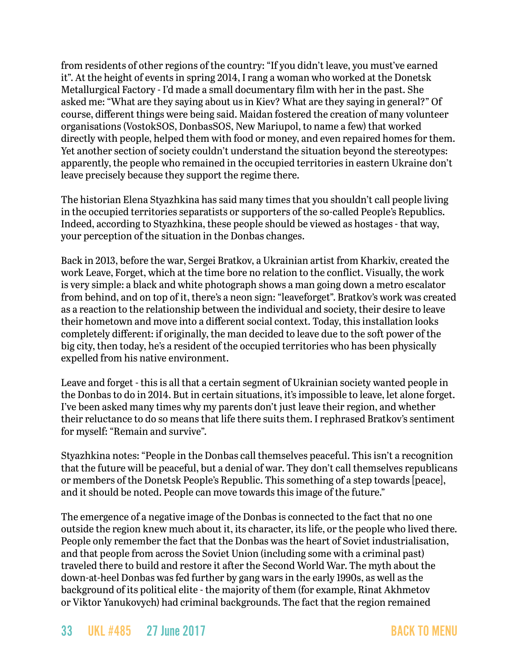from residents of other regions of the country: "If you didn't leave, you must've earned it". At the height of events in spring 2014, I rang a woman who worked at the Donetsk Metallurgical Factory - I'd made a small documentary film with her in the past. She asked me: "What are they saying about us in Kiev? What are they saying in general?" Of course, different things were being said. Maidan fostered the creation of many volunteer organisations (VostokSOS, DonbasSOS, New Mariupol, to name a few) that worked directly with people, helped them with food or money, and even repaired homes for them. Yet another section of society couldn't understand the situation beyond the stereotypes: apparently, the people who remained in the occupied territories in eastern Ukraine don't leave precisely because they support the regime there.

The historian Elena Styazhkina has said many times that you shouldn't call people living in the occupied territories separatists or supporters of the so-called People's Republics. Indeed, according to Styazhkina, these people should be viewed as hostages - that way, your perception of the situation in the Donbas changes.

Back in 2013, before the war, Sergei Bratkov, a Ukrainian artist from Kharkiv, created the work Leave, Forget, which at the time bore no relation to the conflict. Visually, the work is very simple: a black and white photograph shows a man going down a metro escalator from behind, and on top of it, there's a neon sign: "leaveforget". Bratkov's work was created as a reaction to the relationship between the individual and society, their desire to leave their hometown and move into a different social context. Today, this installation looks completely different: if originally, the man decided to leave due to the soft power of the big city, then today, he's a resident of the occupied territories who has been physically expelled from his native environment.

Leave and forget - this is all that a certain segment of Ukrainian society wanted people in the Donbas to do in 2014. But in certain situations, it's impossible to leave, let alone forget. I've been asked many times why my parents don't just leave their region, and whether their reluctance to do so means that life there suits them. I rephrased Bratkov's sentiment for myself: "Remain and survive".

Styazhkina notes: "People in the Donbas call themselves peaceful. This isn't a recognition that the future will be peaceful, but a denial of war. They don't call themselves republicans or members of the Donetsk People's Republic. This something of a step towards [peace], and it should be noted. People can move towards this image of the future."

The emergence of a negative image of the Donbas is connected to the fact that no one outside the region knew much about it, its character, its life, or the people who lived there. People only remember the fact that the Donbas was the heart of Soviet industrialisation, and that people from across the Soviet Union (including some with a criminal past) traveled there to build and restore it after the Second World War. The myth about the down-at-heel Donbas was fed further by gang wars in the early 1990s, as well as the background of its political elite - the majority of them (for example, Rinat Akhmetov or Viktor Yanukovych) had criminal backgrounds. The fact that the region remained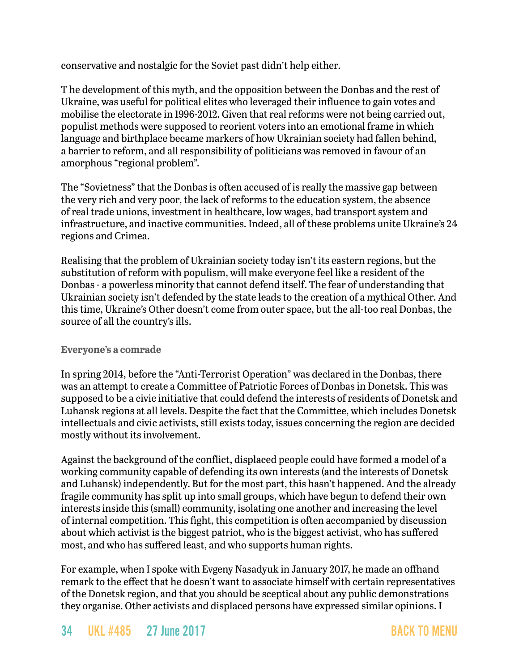conservative and nostalgic for the Soviet past didn't help either.

T he development of this myth, and the opposition between the Donbas and the rest of Ukraine, was useful for political elites who leveraged their influence to gain votes and mobilise the electorate in 1996-2012. Given that real reforms were not being carried out, populist methods were supposed to reorient voters into an emotional frame in which language and birthplace became markers of how Ukrainian society had fallen behind, a barrier to reform, and all responsibility of politicians was removed in favour of an amorphous "regional problem".

The "Sovietness" that the Donbas is often accused of is really the massive gap between the very rich and very poor, the lack of reforms to the education system, the absence of real trade unions, investment in healthcare, low wages, bad transport system and infrastructure, and inactive communities. Indeed, all of these problems unite Ukraine's 24 regions and Crimea.

Realising that the problem of Ukrainian society today isn't its eastern regions, but the substitution of reform with populism, will make everyone feel like a resident of the Donbas - a powerless minority that cannot defend itself. The fear of understanding that Ukrainian society isn't defended by the state leads to the creation of a mythical Other. And this time, Ukraine's Other doesn't come from outer space, but the all-too real Donbas, the source of all the country's ills.

#### **Everyone's a comrade**

In spring 2014, before the "Anti-Terrorist Operation" was declared in the Donbas, there was an attempt to create a Committee of Patriotic Forces of Donbas in Donetsk. This was supposed to be a civic initiative that could defend the interests of residents of Donetsk and Luhansk regions at all levels. Despite the fact that the Committee, which includes Donetsk intellectuals and civic activists, still exists today, issues concerning the region are decided mostly without its involvement.

Against the background of the conflict, displaced people could have formed a model of a working community capable of defending its own interests (and the interests of Donetsk and Luhansk) independently. But for the most part, this hasn't happened. And the already fragile community has split up into small groups, which have begun to defend their own interests inside this (small) community, isolating one another and increasing the level of internal competition. This fight, this competition is often accompanied by discussion about which activist is the biggest patriot, who is the biggest activist, who has suffered most, and who has suffered least, and who supports human rights.

For example, when I spoke with Evgeny Nasadyuk in January 2017, he made an offhand remark to the effect that he doesn't want to associate himself with certain representatives of the Donetsk region, and that you should be sceptical about any public demonstrations they organise. Other activists and displaced persons have expressed similar opinions. I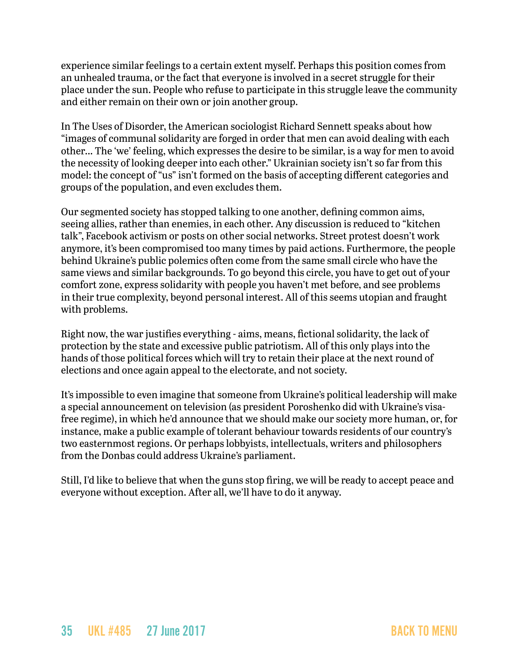experience similar feelings to a certain extent myself. Perhaps this position comes from an unhealed trauma, or the fact that everyone is involved in a secret struggle for their place under the sun. People who refuse to participate in this struggle leave the community and either remain on their own or join another group.

In The Uses of Disorder, the American sociologist Richard Sennett speaks about how "images of communal solidarity are forged in order that men can avoid dealing with each other... The 'we' feeling, which expresses the desire to be similar, is a way for men to avoid the necessity of looking deeper into each other." Ukrainian society isn't so far from this model: the concept of "us" isn't formed on the basis of accepting different categories and groups of the population, and even excludes them.

Our segmented society has stopped talking to one another, defining common aims, seeing allies, rather than enemies, in each other. Any discussion is reduced to "kitchen talk", Facebook activism or posts on other social networks. Street protest doesn't work anymore, it's been compromised too many times by paid actions. Furthermore, the people behind Ukraine's public polemics often come from the same small circle who have the same views and similar backgrounds. To go beyond this circle, you have to get out of your comfort zone, express solidarity with people you haven't met before, and see problems in their true complexity, beyond personal interest. All of this seems utopian and fraught with problems.

Right now, the war justifies everything - aims, means, fictional solidarity, the lack of protection by the state and excessive public patriotism. All of this only plays into the hands of those political forces which will try to retain their place at the next round of elections and once again appeal to the electorate, and not society.

It's impossible to even imagine that someone from Ukraine's political leadership will make a special announcement on television (as president Poroshenko did with Ukraine's visafree regime), in which he'd announce that we should make our society more human, or, for instance, make a public example of tolerant behaviour towards residents of our country's two easternmost regions. Or perhaps lobbyists, intellectuals, writers and philosophers from the Donbas could address Ukraine's parliament.

Still, I'd like to believe that when the guns stop firing, we will be ready to accept peace and everyone without exception. After all, we'll have to do it anyway.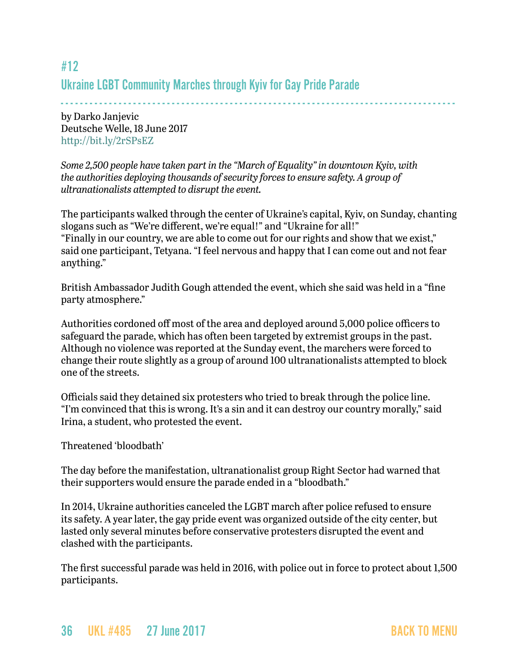## <span id="page-35-0"></span>#12 Ukraine LGBT Community Marches through Kyiv for Gay Pride Parade

- - - - - - - - - - - - - - - - - - - - - - - - - - - - - - - - - - - - - - - - - - - - - - - - - - - - - - - - - - - - - - - - - - - - - - - - - - - - - - - - - by Darko Janjevic Deutsche Welle, 18 June 2017 <http://bit.ly/2rSPsEZ>

*Some 2,500 people have taken part in the "March of Equality" in downtown Kyiv, with the authorities deploying thousands of security forces to ensure safety. A group of ultranationalists attempted to disrupt the event.*

The participants walked through the center of Ukraine's capital, Kyiv, on Sunday, chanting slogans such as "We're different, we're equal!" and "Ukraine for all!" "Finally in our country, we are able to come out for our rights and show that we exist," said one participant, Tetyana. "I feel nervous and happy that I can come out and not fear anything."

British Ambassador Judith Gough attended the event, which she said was held in a "fine party atmosphere."

Authorities cordoned off most of the area and deployed around 5,000 police officers to safeguard the parade, which has often been targeted by extremist groups in the past. Although no violence was reported at the Sunday event, the marchers were forced to change their route slightly as a group of around 100 ultranationalists attempted to block one of the streets.

Officials said they detained six protesters who tried to break through the police line. "I'm convinced that this is wrong. It's a sin and it can destroy our country morally," said Irina, a student, who protested the event.

Threatened 'bloodbath'

The day before the manifestation, ultranationalist group Right Sector had warned that their supporters would ensure the parade ended in a "bloodbath."

In 2014, Ukraine authorities canceled the LGBT march after police refused to ensure its safety. A year later, the gay pride event was organized outside of the city center, but lasted only several minutes before conservative protesters disrupted the event and clashed with the participants.

The first successful parade was held in 2016, with police out in force to protect about 1,500 participants.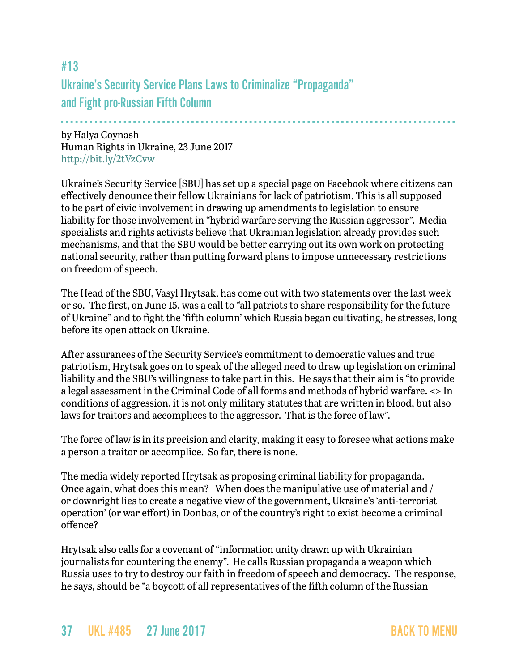# #13 Ukraine's Security Service Plans Laws to Criminalize "Propaganda" and Fight pro-Russian Fifth Column

- - - - - - - - - - - - - - - - - - - - - - - - - - - - - - - - - - - - - - - - - - - - - - - - - - - - - - - - - - - - - - - - - - - - - - - - - - - - - - - - - by Halya Coynash Human Rights in Ukraine, 23 June 2017 <http://bit.ly/2tVzCvw>

Ukraine's Security Service [SBU] has set up a special page on Facebook where citizens can effectively denounce their fellow Ukrainians for lack of patriotism. This is all supposed to be part of civic involvement in drawing up amendments to legislation to ensure liability for those involvement in "hybrid warfare serving the Russian aggressor". Media specialists and rights activists believe that Ukrainian legislation already provides such mechanisms, and that the SBU would be better carrying out its own work on protecting national security, rather than putting forward plans to impose unnecessary restrictions on freedom of speech.

The Head of the SBU, Vasyl Hrytsak, has come out with two statements over the last week or so. The first, on June 15, was a call to "all patriots to share responsibility for the future of Ukraine" and to fight the 'fifth column' which Russia began cultivating, he stresses, long before its open attack on Ukraine.

After assurances of the Security Service's commitment to democratic values and true patriotism, Hrytsak goes on to speak of the alleged need to draw up legislation on criminal liability and the SBU's willingness to take part in this. He says that their aim is "to provide a legal assessment in the Criminal Code of all forms and methods of hybrid warfare. <> In conditions of aggression, it is not only military statutes that are written in blood, but also laws for traitors and accomplices to the aggressor. That is the force of law".

The force of law is in its precision and clarity, making it easy to foresee what actions make a person a traitor or accomplice. So far, there is none.

The media widely reported Hrytsak as proposing criminal liability for propaganda. Once again, what does this mean? When does the manipulative use of material and / or downright lies to create a negative view of the government, Ukraine's 'anti-terrorist operation' (or war effort) in Donbas, or of the country's right to exist become a criminal offence?

Hrytsak also calls for a covenant of "information unity drawn up with Ukrainian journalists for countering the enemy". He calls Russian propaganda a weapon which Russia uses to try to destroy our faith in freedom of speech and democracy. The response, he says, should be "a boycott of all representatives of the fifth column of the Russian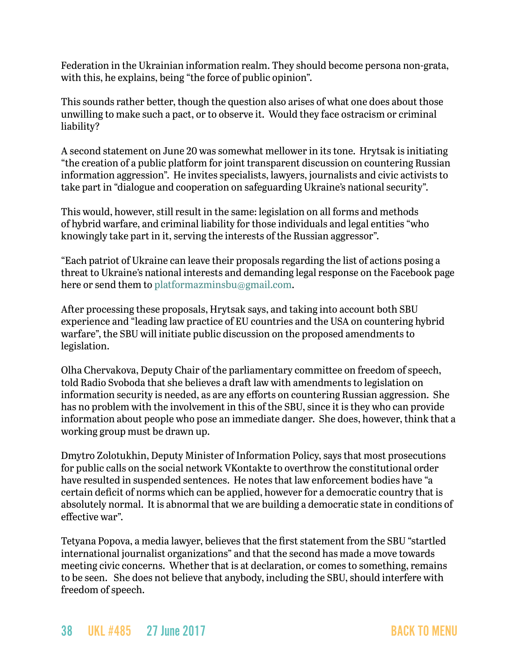Federation in the Ukrainian information realm. They should become persona non-grata, with this, he explains, being "the force of public opinion".

This sounds rather better, though the question also arises of what one does about those unwilling to make such a pact, or to observe it. Would they face ostracism or criminal liability?

A second statement on June 20 was somewhat mellower in its tone. Hrytsak is initiating "the creation of a public platform for joint transparent discussion on countering Russian information aggression". He invites specialists, lawyers, journalists and civic activists to take part in "dialogue and cooperation on safeguarding Ukraine's national security".

This would, however, still result in the same: legislation on all forms and methods of hybrid warfare, and criminal liability for those individuals and legal entities "who knowingly take part in it, serving the interests of the Russian aggressor".

"Each patriot of Ukraine can leave their proposals regarding the list of actions posing a threat to Ukraine's national interests and demanding legal response on the Facebook page here or send them to [platformazminsbu@gmail.com](mailto:platformazminsbu@gmail.com).

After processing these proposals, Hrytsak says, and taking into account both SBU experience and "leading law practice of EU countries and the USA on countering hybrid warfare", the SBU will initiate public discussion on the proposed amendments to legislation.

Olha Chervakova, Deputy Chair of the parliamentary committee on freedom of speech, told Radio Svoboda that she believes a draft law with amendments to legislation on information security is needed, as are any efforts on countering Russian aggression. She has no problem with the involvement in this of the SBU, since it is they who can provide information about people who pose an immediate danger. She does, however, think that a working group must be drawn up.

Dmytro Zolotukhin, Deputy Minister of Information Policy, says that most prosecutions for public calls on the social network VKontakte to overthrow the constitutional order have resulted in suspended sentences. He notes that law enforcement bodies have "a certain deficit of norms which can be applied, however for a democratic country that is absolutely normal. It is abnormal that we are building a democratic state in conditions of effective war".

Tetyana Popova, a media lawyer, believes that the first statement from the SBU "startled international journalist organizations" and that the second has made a move towards meeting civic concerns. Whether that is at declaration, or comes to something, remains to be seen. She does not believe that anybody, including the SBU, should interfere with freedom of speech.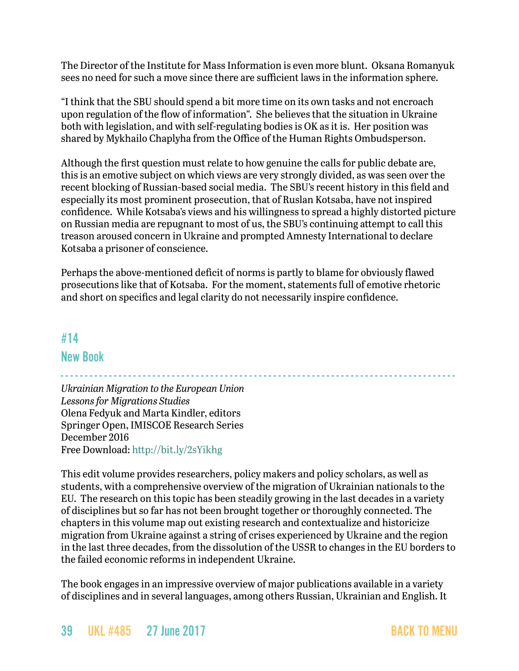The Director of the Institute for Mass Information is even more blunt. Oksana Romanyuk sees no need for such a move since there are sufficient laws in the information sphere.

"I think that the SBU should spend a bit more time on its own tasks and not encroach upon regulation of the flow of information". She believes that the situation in Ukraine both with legislation, and with self-regulating bodies is OK as it is. Her position was shared by Mykhailo Chaplyha from the Office of the Human Rights Ombudsperson.

Although the first question must relate to how genuine the calls for public debate are, this is an emotive subject on which views are very strongly divided, as was seen over the recent blocking of Russian-based social media. The SBU's recent history in this field and especially its most prominent prosecution, that of Ruslan Kotsaba, have not inspired confidence. While Kotsaba's views and his willingness to spread a highly distorted picture on Russian media are repugnant to most of us, the SBU's continuing attempt to call this treason aroused concern in Ukraine and prompted Amnesty International to declare Kotsaba a prisoner of conscience.

Perhaps the above-mentioned deficit of norms is partly to blame for obviously flawed prosecutions like that of Kotsaba. For the moment, statements full of emotive rhetoric and short on specifics and legal clarity do not necessarily inspire confidence.

## <span id="page-38-0"></span>#14

### New Book

- - - - - - - - - - - - - - - - - - - - - - - - - - - - - - - - - - - - - - - - - - - - - - - - - - - - - - - - - - - - - - - - - - - - - - - - - - - - - - - - - - *Ukrainian Migration to the European Union Lessons for Migrations Studies* Olena Fedyuk and Marta Kindler, editors Springer Open, IMISCOE Research Series December 2016 Free Download: <http://bit.ly/2sYikhg>

This edit volume provides researchers, policy makers and policy scholars, as well as students, with a comprehensive overview of the migration of Ukrainian nationals to the EU. The research on this topic has been steadily growing in the last decades in a variety of disciplines but so far has not been brought together or thoroughly connected. The chapters in this volume map out existing research and contextualize and historicize migration from Ukraine against a string of crises experienced by Ukraine and the region in the last three decades, from the dissolution of the USSR to changes in the EU borders to the failed economic reforms in independent Ukraine.

The book engages in an impressive overview of major publications available in a variety of disciplines and in several languages, among others Russian, Ukrainian and English. It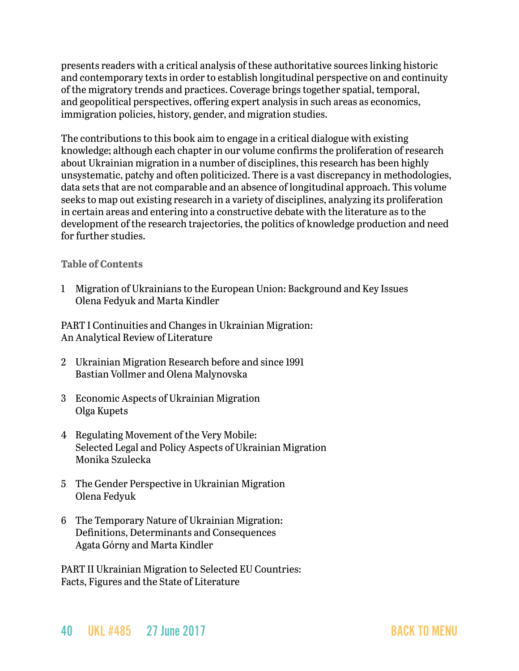presents readers with a critical analysis of these authoritative sources linking historic and contemporary texts in order to establish longitudinal perspective on and continuity of the migratory trends and practices. Coverage brings together spatial, temporal, and geopolitical perspectives, offering expert analysis in such areas as economics, immigration policies, history, gender, and migration studies.

The contributions to this book aim to engage in a critical dialogue with existing knowledge; although each chapter in our volume confirms the proliferation of research about Ukrainian migration in a number of disciplines, this research has been highly unsystematic, patchy and often politicized. There is a vast discrepancy in methodologies, data sets that are not comparable and an absence of longitudinal approach. This volume seeks to map out existing research in a variety of disciplines, analyzing its proliferation in certain areas and entering into a constructive debate with the literature as to the development of the research trajectories, the politics of knowledge production and need for further studies.

#### **Table of Contents**

1 Migration of Ukrainians to the European Union: Background and Key Issues Olena Fedyuk and Marta Kindler

PART I Continuities and Changes in Ukrainian Migration: An Analytical Review of Literature

- 2 Ukrainian Migration Research before and since 1991 Bastian Vollmer and Olena Malynovska
- 3 Economic Aspects of Ukrainian Migration Olga Kupets
- 4 Regulating Movement of the Very Mobile: Selected Legal and Policy Aspects of Ukrainian Migration Monika Szulecka
- 5 The Gender Perspective in Ukrainian Migration Olena Fedyuk
- 6 The Temporary Nature of Ukrainian Migration: Definitions, Determinants and Consequences Agata Górny and Marta Kindler

PART II Ukrainian Migration to Selected EU Countries: Facts, Figures and the State of Literature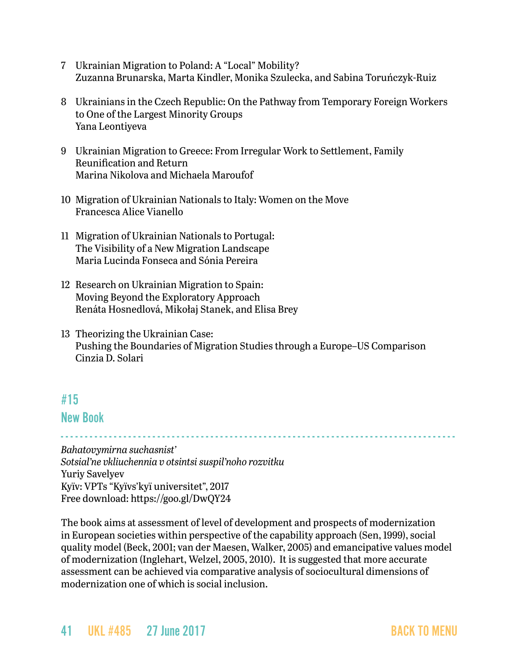- 7 Ukrainian Migration to Poland: A "Local" Mobility? Zuzanna Brunarska, Marta Kindler, Monika Szulecka, and Sabina Toruńczyk-Ruiz
- 8 Ukrainians in the Czech Republic: On the Pathway from Temporary Foreign Workers to One of the Largest Minority Groups Yana Leontiyeva
- 9 Ukrainian Migration to Greece: From Irregular Work to Settlement, Family Reunification and Return Marina Nikolova and Michaela Maroufof
- 10 Migration of Ukrainian Nationals to Italy: Women on the Move Francesca Alice Vianello
- 11 Migration of Ukrainian Nationals to Portugal: The Visibility of a New Migration Landscape Maria Lucinda Fonseca and Sónia Pereira
- 12 Research on Ukrainian Migration to Spain: Moving Beyond the Exploratory Approach Renáta Hosnedlová, Mikołaj Stanek, and Elisa Brey
- 13 Theorizing the Ukrainian Case: Pushing the Boundaries of Migration Studies through a Europe–US Comparison Cinzia D. Solari

## <span id="page-40-0"></span>#15

#### New Book

- - - - - - - - - - - - - - - - - - - - - - - - - - - - - - - - - - - - - - - - - - - - - - - - - - - - - - - - - - - - - - - - - - - - - - - - - - - - - - - - - -

*Bahatovymirna suchasnist' Sotsial'ne vkliuchennia v otsintsi suspil'noho rozvitku* Yuriy Savelyev Kyïv: VPTs "Kyïvs'kyï universitet", 2017 Free download:<https://goo.gl/DwQY24>

The book aims at assessment of level of development and prospects of modernization in European societies within perspective of the capability approach (Sen, 1999), social quality model (Beck, 2001; van der Maesen, Walker, 2005) and emancipative values model of modernization (Inglehart, Welzel, 2005, 2010). It is suggested that more accurate assessment can be achieved via comparative analysis of sociocultural dimensions of modernization one of which is social inclusion.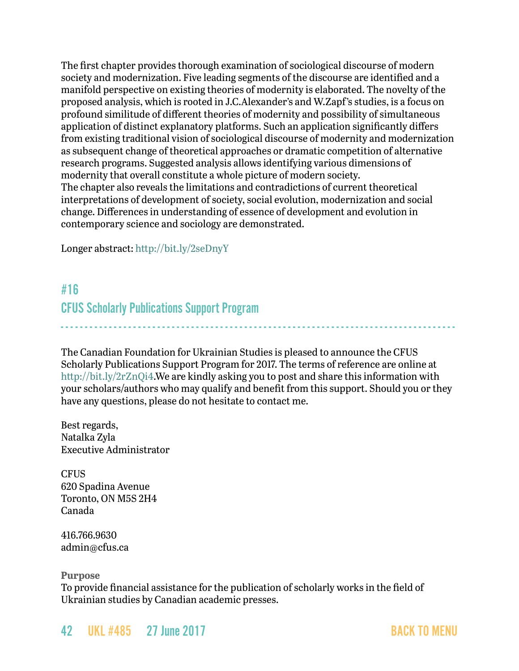The first chapter provides thorough examination of sociological discourse of modern society and modernization. Five leading segments of the discourse are identified and a manifold perspective on existing theories of modernity is elaborated. The novelty of the proposed analysis, which is rooted in J.C.Alexander's and W.Zapf's studies, is a focus on profound similitude of different theories of modernity and possibility of simultaneous application of distinct explanatory platforms. Such an application significantly differs from existing traditional vision of sociological discourse of modernity and modernization as subsequent change of theoretical approaches or dramatic competition of alternative research programs. Suggested analysis allows identifying various dimensions of modernity that overall constitute a whole picture of modern society. The chapter also reveals the limitations and contradictions of current theoretical interpretations of development of society, social evolution, modernization and social change. Differences in understanding of essence of development and evolution in contemporary science and sociology are demonstrated.

Longer abstract: <http://bit.ly/2seDnyY>

# <span id="page-41-0"></span>#16 CFUS Scholarly Publications Support Program

The Canadian Foundation for Ukrainian Studies is pleased to announce the CFUS Scholarly Publications Support Program for 2017. The terms of reference are online at <http://bit.ly/2rZnQi4>.We are kindly asking you to post and share this information with your scholars/authors who may qualify and benefit from this support. Should you or they have any questions, please do not hesitate to contact me.

- - - - - - - - - - - - - - - - - - - - - - - - - - - - - - - - - - - - - - - - - - - - - - - - - - - - - - - - - - - - - - - - - - - - - - - - - - - - - - - - - -

Best regards, Natalka Zyla Executive Administrator

**CFUS** 620 Spadina Avenue Toronto, ON M5S 2H4 Canada

416.766.9630 [admin@cfus.ca](mailto:admin@cfus.ca)

**Purpose**

To provide financial assistance for the publication of scholarly works in the field of Ukrainian studies by Canadian academic presses.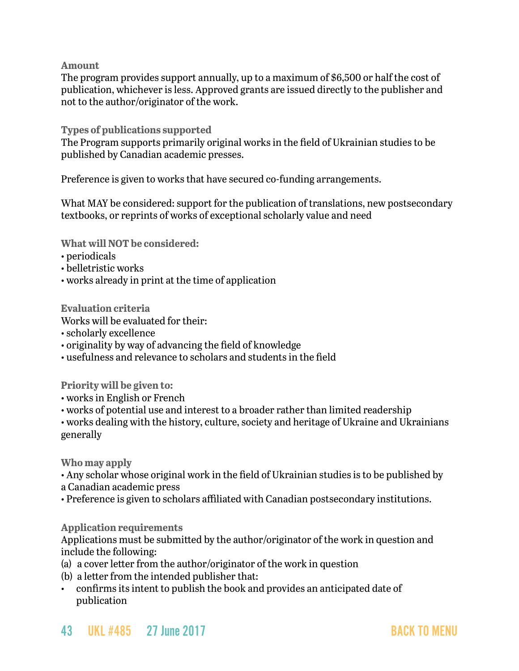**Amount**

The program provides support annually, up to a maximum of \$6,500 or half the cost of publication, whichever is less. Approved grants are issued directly to the publisher and not to the author/originator of the work.

**Types of publications supported**

The Program supports primarily original works in the field of Ukrainian studies to be published by Canadian academic presses.

Preference is given to works that have secured co-funding arrangements.

What MAY be considered: support for the publication of translations, new postsecondary textbooks, or reprints of works of exceptional scholarly value and need

**What will NOT be considered:**

- periodicals
- belletristic works
- works already in print at the time of application

**Evaluation criteria**

- Works will be evaluated for their:
- scholarly excellence
- originality by way of advancing the field of knowledge
- usefulness and relevance to scholars and students in the field

**Priority will be given to:**

- works in English or French
- works of potential use and interest to a broader rather than limited readership

• works dealing with the history, culture, society and heritage of Ukraine and Ukrainians generally

**Who may apply**

• Any scholar whose original work in the field of Ukrainian studies is to be published by a Canadian academic press

• Preference is given to scholars affiliated with Canadian postsecondary institutions.

**Application requirements**

Applications must be submitted by the author/originator of the work in question and include the following:

- (a) a cover letter from the author/originator of the work in question
- (b) a letter from the intended publisher that:
- confirms its intent to publish the book and provides an anticipated date of publication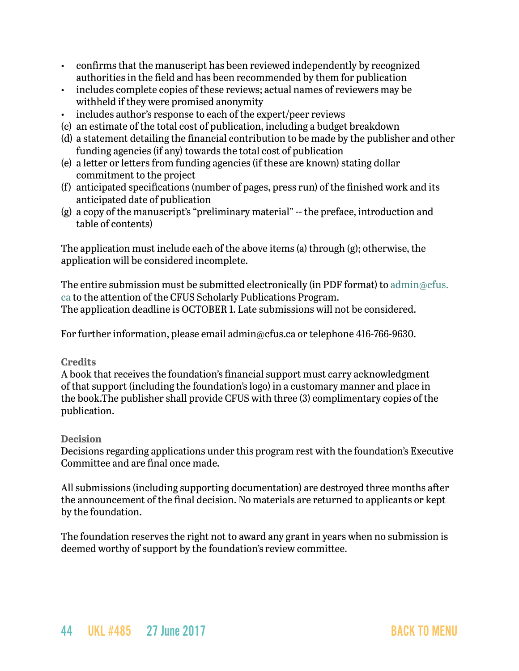- confirms that the manuscript has been reviewed independently by recognized authorities in the field and has been recommended by them for publication
- includes complete copies of these reviews; actual names of reviewers may be withheld if they were promised anonymity
- includes author's response to each of the expert/peer reviews
- (c) an estimate of the total cost of publication, including a budget breakdown
- (d) a statement detailing the financial contribution to be made by the publisher and other funding agencies (if any) towards the total cost of publication
- (e) a letter or letters from funding agencies (if these are known) stating dollar commitment to the project
- (f) anticipated specifications (number of pages, press run) of the finished work and its anticipated date of publication
- (g) a copy of the manuscript's "preliminary material" -- the preface, introduction and table of contents)

The application must include each of the above items (a) through (g); otherwise, the application will be considered incomplete.

The entire submission must be submitted electronically (in PDF format) to [admin@cfus.](mailto:admin@cfus.ca) [ca](mailto:admin@cfus.ca) to the attention of the CFUS Scholarly Publications Program. The application deadline is OCTOBER 1. Late submissions will not be considered.

For further information, please email admin@cfus.ca or telephone 416-766-9630.

#### **Credits**

A book that receives the foundation's financial support must carry acknowledgment of that support (including the foundation's logo) in a customary manner and place in the book.The publisher shall provide CFUS with three (3) complimentary copies of the publication.

#### **Decision**

Decisions regarding applications under this program rest with the foundation's Executive Committee and are final once made.

All submissions (including supporting documentation) are destroyed three months after the announcement of the final decision. No materials are returned to applicants or kept by the foundation.

The foundation reserves the right not to award any grant in years when no submission is deemed worthy of support by the foundation's review committee.